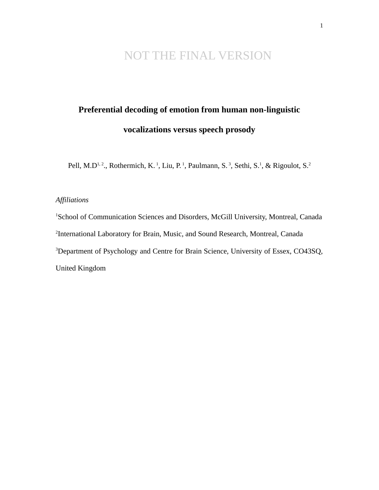# NOT THE FINAL VERSION

# **Preferential decoding of emotion from human non-linguistic vocalizations versus speech prosody**

Pell, M.D<sup>1, 2</sup>., Rothermich, K.<sup>1</sup>, Liu, P.<sup>1</sup>, Paulmann, S.<sup>3</sup>, Sethi, S.<sup>1</sup>, & Rigoulot, S.<sup>2</sup>

# *Affiliations*

<sup>1</sup>School of Communication Sciences and Disorders, McGill University, Montreal, Canada <sup>2</sup>International Laboratory for Brain, Music, and Sound Research, Montreal, Canada <sup>3</sup>Department of Psychology and Centre for Brain Science, University of Essex, CO43SQ, United Kingdom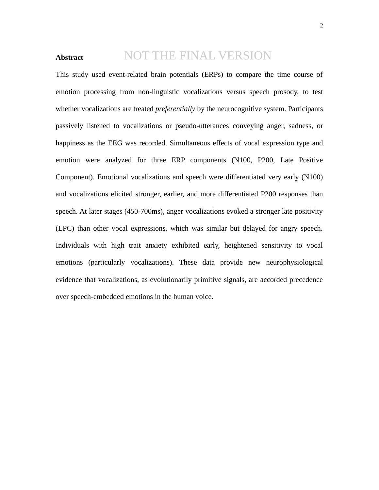#### **Abstract** NOT THE FINAL VERSION

This study used event-related brain potentials (ERPs) to compare the time course of emotion processing from non-linguistic vocalizations versus speech prosody, to test whether vocalizations are treated *preferentially* by the neurocognitive system. Participants passively listened to vocalizations or pseudo-utterances conveying anger, sadness, or happiness as the EEG was recorded. Simultaneous effects of vocal expression type and emotion were analyzed for three ERP components (N100, P200, Late Positive Component). Emotional vocalizations and speech were differentiated very early (N100) and vocalizations elicited stronger, earlier, and more differentiated P200 responses than speech. At later stages (450-700ms), anger vocalizations evoked a stronger late positivity (LPC) than other vocal expressions, which was similar but delayed for angry speech. Individuals with high trait anxiety exhibited early, heightened sensitivity to vocal emotions (particularly vocalizations). These data provide new neurophysiological evidence that vocalizations, as evolutionarily primitive signals, are accorded precedence over speech-embedded emotions in the human voice.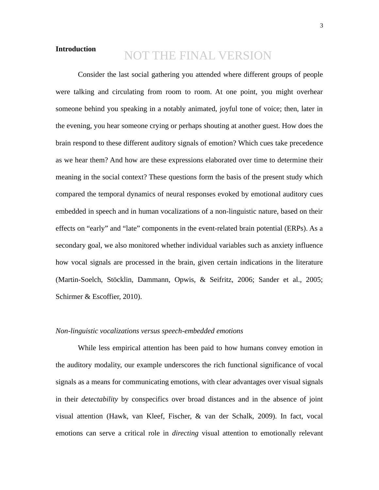# **Introduction**

# NOT THE FINAL VERSION

Consider the last social gathering you attended where different groups of people were talking and circulating from room to room. At one point, you might overhear someone behind you speaking in a notably animated, joyful tone of voice; then, later in the evening, you hear someone crying or perhaps shouting at another guest. How does the brain respond to these different auditory signals of emotion? Which cues take precedence as we hear them? And how are these expressions elaborated over time to determine their meaning in the social context? These questions form the basis of the present study which compared the temporal dynamics of neural responses evoked by emotional auditory cues embedded in speech and in human vocalizations of a non-linguistic nature, based on their effects on "early" and "late" components in the event-related brain potential (ERPs). As a secondary goal, we also monitored whether individual variables such as anxiety influence how vocal signals are processed in the brain, given certain indications in the literature (Martin-Soelch, Stöcklin, Dammann, Opwis, & Seifritz, 2006; Sander et al., 2005; Schirmer & Escoffier, 2010).

# *Non-linguistic vocalizations versus speech-embedded emotions*

While less empirical attention has been paid to how humans convey emotion in the auditory modality, our example underscores the rich functional significance of vocal signals as a means for communicating emotions, with clear advantages over visual signals in their *detectability* by conspecifics over broad distances and in the absence of joint visual attention (Hawk, van Kleef, Fischer, & van der Schalk, 2009). In fact, vocal emotions can serve a critical role in *directing* visual attention to emotionally relevant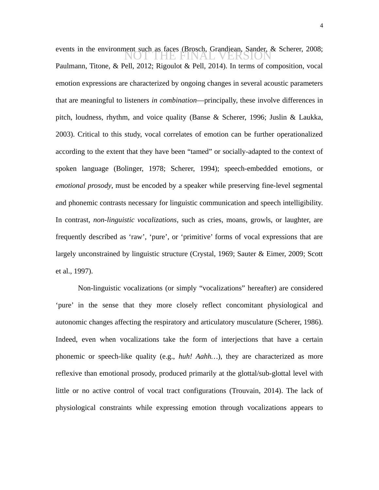events in the environment such as faces (Brosch, Grandiean, Sander, & Scherer, 2008;<br>
NOT THE FINAL VERSION Paulmann, Titone, & Pell, 2012; Rigoulot & Pell, 2014). In terms of composition, vocal emotion expressions are characterized by ongoing changes in several acoustic parameters that are meaningful to listeners *in combination*—principally, these involve differences in pitch, loudness, rhythm, and voice quality (Banse & Scherer, 1996; Juslin & Laukka, 2003). Critical to this study, vocal correlates of emotion can be further operationalized according to the extent that they have been "tamed" or socially-adapted to the context of spoken language (Bolinger, 1978; Scherer, 1994); speech-embedded emotions*,* or *emotional prosody*, must be encoded by a speaker while preserving fine-level segmental and phonemic contrasts necessary for linguistic communication and speech intelligibility. In contrast, *non-linguistic vocalizations*, such as cries, moans, growls, or laughter, are frequently described as 'raw', 'pure', or 'primitive' forms of vocal expressions that are largely unconstrained by linguistic structure (Crystal, 1969; Sauter & Eimer, 2009; Scott et al., 1997).

Non-linguistic vocalizations (or simply "vocalizations" hereafter) are considered 'pure' in the sense that they more closely reflect concomitant physiological and autonomic changes affecting the respiratory and articulatory musculature (Scherer, 1986). Indeed, even when vocalizations take the form of interjections that have a certain phonemic or speech-like quality (e.g., *huh! Aahh…*), they are characterized as more reflexive than emotional prosody, produced primarily at the glottal/sub-glottal level with little or no active control of vocal tract configurations (Trouvain, 2014). The lack of physiological constraints while expressing emotion through vocalizations appears to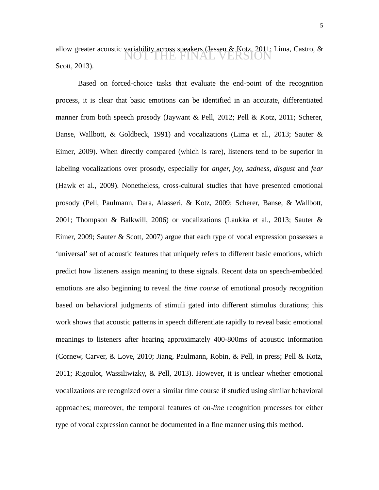allow greater acoustic variability across speakers (Jessen & Kotz, 2011; Lima, Castro, & Scott, 2013). NOT THE FINAL VERSION

Based on forced-choice tasks that evaluate the end-point of the recognition process, it is clear that basic emotions can be identified in an accurate, differentiated manner from both speech prosody (Jaywant & Pell, 2012; Pell & Kotz, 2011; Scherer, Banse, Wallbott, & Goldbeck, 1991) and vocalizations (Lima et al., 2013; Sauter & Eimer, 2009). When directly compared (which is rare), listeners tend to be superior in labeling vocalizations over prosody, especially for *anger, joy, sadness, disgust* and *fear* (Hawk et al., 2009). Nonetheless, cross-cultural studies that have presented emotional prosody (Pell, Paulmann, Dara, Alasseri, & Kotz, 2009; Scherer, Banse, & Wallbott, 2001; Thompson & Balkwill, 2006) or vocalizations (Laukka et al., 2013; Sauter & Eimer, 2009; Sauter & Scott, 2007) argue that each type of vocal expression possesses a 'universal' set of acoustic features that uniquely refers to different basic emotions, which predict how listeners assign meaning to these signals. Recent data on speech-embedded emotions are also beginning to reveal the *time course* of emotional prosody recognition based on behavioral judgments of stimuli gated into different stimulus durations; this work shows that acoustic patterns in speech differentiate rapidly to reveal basic emotional meanings to listeners after hearing approximately 400-800ms of acoustic information (Cornew, Carver, & Love, 2010; Jiang, Paulmann, Robin, & Pell, in press; Pell & Kotz, 2011; Rigoulot, Wassiliwizky, & Pell, 2013). However, it is unclear whether emotional vocalizations are recognized over a similar time course if studied using similar behavioral approaches; moreover, the temporal features of *on-line* recognition processes for either type of vocal expression cannot be documented in a fine manner using this method.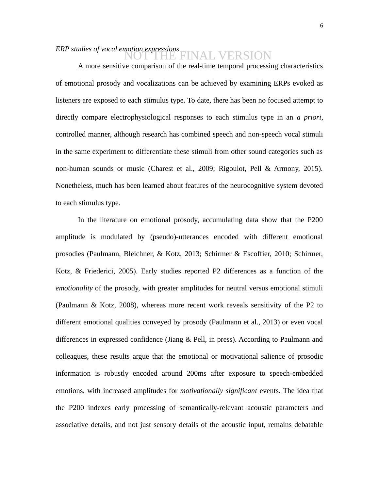# *ERP studies of vocal emotion expressions* NOT THE FINAL VERSION

A more sensitive comparison of the real-time temporal processing characteristics of emotional prosody and vocalizations can be achieved by examining ERPs evoked as listeners are exposed to each stimulus type. To date, there has been no focused attempt to directly compare electrophysiological responses to each stimulus type in an *a priori*, controlled manner, although research has combined speech and non-speech vocal stimuli in the same experiment to differentiate these stimuli from other sound categories such as non-human sounds or music (Charest et al., 2009; Rigoulot, Pell & Armony, 2015). Nonetheless, much has been learned about features of the neurocognitive system devoted to each stimulus type.

In the literature on emotional prosody, accumulating data show that the P200 amplitude is modulated by (pseudo)-utterances encoded with different emotional prosodies (Paulmann, Bleichner, & Kotz, 2013; Schirmer & Escoffier, 2010; Schirmer, Kotz, & Friederici, 2005). Early studies reported P2 differences as a function of the *emotionality* of the prosody, with greater amplitudes for neutral versus emotional stimuli (Paulmann & Kotz, 2008), whereas more recent work reveals sensitivity of the P2 to different emotional qualities conveyed by prosody (Paulmann et al., 2013) or even vocal differences in expressed confidence (Jiang & Pell, in press). According to Paulmann and colleagues, these results argue that the emotional or motivational salience of prosodic information is robustly encoded around 200ms after exposure to speech-embedded emotions, with increased amplitudes for *motivationally significant* events. The idea that the P200 indexes early processing of semantically-relevant acoustic parameters and associative details, and not just sensory details of the acoustic input, remains debatable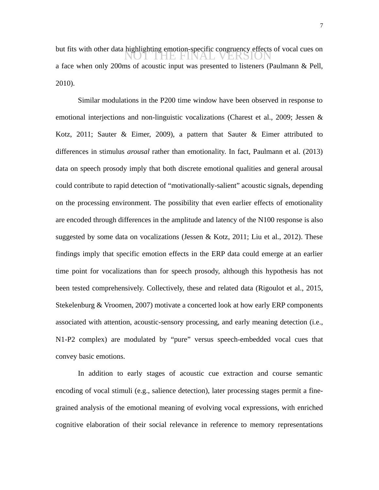7

but fits with other data highlighting emotion-specific congruency effects of vocal cues on **NOT THE FINAL VERSION** a face when only 200ms of acoustic input was presented to listeners (Paulmann & Pell, 2010).

Similar modulations in the P200 time window have been observed in response to emotional interjections and non-linguistic vocalizations (Charest et al., 2009; Jessen & Kotz, 2011; Sauter & Eimer, 2009), a pattern that Sauter & Eimer attributed to differences in stimulus *arousal* rather than emotionality. In fact, Paulmann et al. (2013) data on speech prosody imply that both discrete emotional qualities and general arousal could contribute to rapid detection of "motivationally-salient" acoustic signals, depending on the processing environment. The possibility that even earlier effects of emotionality are encoded through differences in the amplitude and latency of the N100 response is also suggested by some data on vocalizations (Jessen & Kotz, 2011; Liu et al., 2012). These findings imply that specific emotion effects in the ERP data could emerge at an earlier time point for vocalizations than for speech prosody, although this hypothesis has not been tested comprehensively. Collectively, these and related data (Rigoulot et al., 2015, Stekelenburg & Vroomen, 2007) motivate a concerted look at how early ERP components associated with attention, acoustic-sensory processing, and early meaning detection (i.e., N1-P2 complex) are modulated by "pure" versus speech-embedded vocal cues that convey basic emotions.

In addition to early stages of acoustic cue extraction and course semantic encoding of vocal stimuli (e.g., salience detection), later processing stages permit a finegrained analysis of the emotional meaning of evolving vocal expressions, with enriched cognitive elaboration of their social relevance in reference to memory representations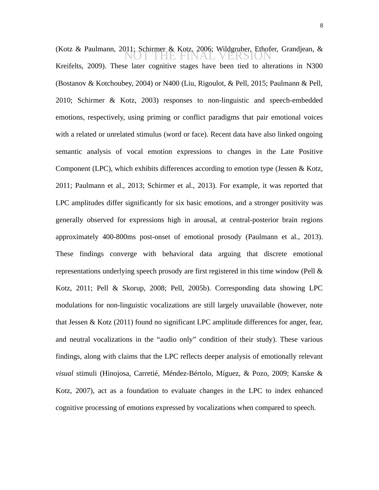(Kotz & Paulmann, 2011; Schirmer & Kotz, 2006; Wildgruber, Ethofer, Grandjean, & NOT THE FINAL VERSIONKreifelts, 2009). These later cognitive stages have been tied to alterations in N300 (Bostanov & Kotchoubey, 2004) or N400 (Liu, Rigoulot, & Pell, 2015; Paulmann & Pell, 2010; Schirmer & Kotz, 2003) responses to non-linguistic and speech-embedded emotions, respectively, using priming or conflict paradigms that pair emotional voices with a related or unrelated stimulus (word or face). Recent data have also linked ongoing semantic analysis of vocal emotion expressions to changes in the Late Positive Component (LPC), which exhibits differences according to emotion type (Jessen & Kotz, 2011; Paulmann et al., 2013; Schirmer et al., 2013). For example, it was reported that LPC amplitudes differ significantly for six basic emotions, and a stronger positivity was generally observed for expressions high in arousal, at central-posterior brain regions approximately 400-800ms post-onset of emotional prosody (Paulmann et al., 2013). These findings converge with behavioral data arguing that discrete emotional representations underlying speech prosody are first registered in this time window (Pell & Kotz, 2011; Pell & Skorup, 2008; Pell, 2005b). Corresponding data showing LPC modulations for non-linguistic vocalizations are still largely unavailable (however, note that Jessen & Kotz (2011) found no significant LPC amplitude differences for anger, fear, and neutral vocalizations in the "audio only" condition of their study). These various findings, along with claims that the LPC reflects deeper analysis of emotionally relevant *visual* stimuli (Hinojosa, Carretié, Méndez-Bértolo, Míguez, & Pozo, 2009; Kanske & Kotz, 2007), act as a foundation to evaluate changes in the LPC to index enhanced cognitive processing of emotions expressed by vocalizations when compared to speech.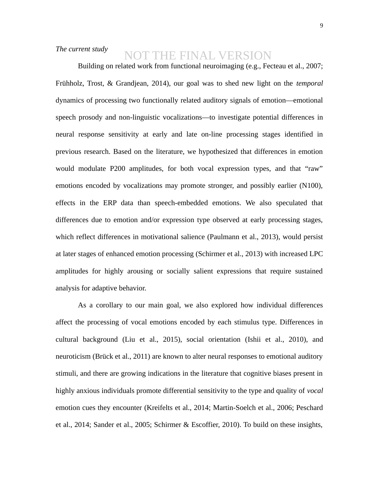# *The current study*

# NOT THE FINAL VERSION

Building on related work from functional neuroimaging (e.g., Fecteau et al., 2007; Frühholz, Trost, & Grandjean, 2014), our goal was to shed new light on the *temporal* dynamics of processing two functionally related auditory signals of emotion—emotional speech prosody and non-linguistic vocalizations—to investigate potential differences in neural response sensitivity at early and late on-line processing stages identified in previous research. Based on the literature, we hypothesized that differences in emotion would modulate P200 amplitudes, for both vocal expression types, and that "raw" emotions encoded by vocalizations may promote stronger, and possibly earlier (N100), effects in the ERP data than speech-embedded emotions. We also speculated that differences due to emotion and/or expression type observed at early processing stages, which reflect differences in motivational salience (Paulmann et al., 2013), would persist at later stages of enhanced emotion processing (Schirmer et al., 2013) with increased LPC amplitudes for highly arousing or socially salient expressions that require sustained analysis for adaptive behavior.

As a corollary to our main goal, we also explored how individual differences affect the processing of vocal emotions encoded by each stimulus type. Differences in cultural background (Liu et al., 2015), social orientation (Ishii et al., 2010), and neuroticism (Brück et al., 2011) are known to alter neural responses to emotional auditory stimuli, and there are growing indications in the literature that cognitive biases present in highly anxious individuals promote differential sensitivity to the type and quality of *vocal* emotion cues they encounter (Kreifelts et al., 2014; Martin-Soelch et al., 2006; Peschard et al., 2014; Sander et al., 2005; Schirmer & Escoffier, 2010). To build on these insights,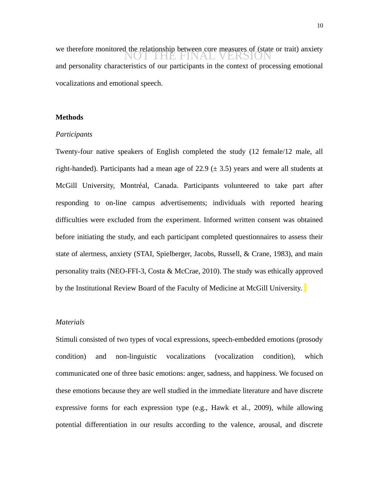we therefore monitored the relationship between core measures of (state or trait) anxiety and personality characteristics of our participants in the context of processing emotional vocalizations and emotional speech. NOT THE FINAL VERSION

# **Methods**

### *Participants*

Twenty-four native speakers of English completed the study (12 female/12 male, all right-handed). Participants had a mean age of 22.9 ( $\pm$  3.5) years and were all students at McGill University, Montréal, Canada. Participants volunteered to take part after responding to on-line campus advertisements; individuals with reported hearing difficulties were excluded from the experiment. Informed written consent was obtained before initiating the study, and each participant completed questionnaires to assess their state of alertness, anxiety (STAI, Spielberger, Jacobs, Russell, & Crane, 1983), and main personality traits (NEO-FFI-3, Costa & McCrae, 2010). The study was ethically approved by the Institutional Review Board of the Faculty of Medicine at McGill University.

## *Materials*

Stimuli consisted of two types of vocal expressions, speech-embedded emotions (prosody condition) and non-linguistic vocalizations (vocalization condition), which communicated one of three basic emotions: anger, sadness, and happiness. We focused on these emotions because they are well studied in the immediate literature and have discrete expressive forms for each expression type (e.g., Hawk et al., 2009), while allowing potential differentiation in our results according to the valence, arousal, and discrete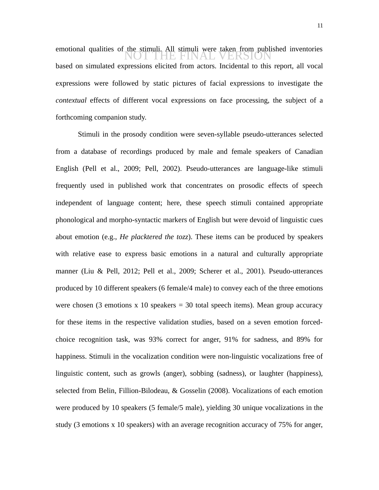emotional qualities of the stimuli. All stimuli were taken from published inventories NOT THE FINAL VERSIONbased on simulated expressions elicited from actors. Incidental to this report, all vocal expressions were followed by static pictures of facial expressions to investigate the *contextual* effects of different vocal expressions on face processing, the subject of a forthcoming companion study.

Stimuli in the prosody condition were seven-syllable pseudo-utterances selected from a database of recordings produced by male and female speakers of Canadian English (Pell et al., 2009; Pell, 2002). Pseudo-utterances are language-like stimuli frequently used in published work that concentrates on prosodic effects of speech independent of language content; here, these speech stimuli contained appropriate phonological and morpho-syntactic markers of English but were devoid of linguistic cues about emotion (e.g., *He placktered the tozz*). These items can be produced by speakers with relative ease to express basic emotions in a natural and culturally appropriate manner (Liu & Pell, 2012; Pell et al., 2009; Scherer et al., 2001). Pseudo-utterances produced by 10 different speakers (6 female/4 male) to convey each of the three emotions were chosen (3 emotions x 10 speakers  $=$  30 total speech items). Mean group accuracy for these items in the respective validation studies, based on a seven emotion forcedchoice recognition task, was 93% correct for anger, 91% for sadness, and 89% for happiness. Stimuli in the vocalization condition were non-linguistic vocalizations free of linguistic content, such as growls (anger), sobbing (sadness), or laughter (happiness), selected from Belin, Fillion-Bilodeau, & Gosselin (2008). Vocalizations of each emotion were produced by 10 speakers (5 female/5 male), yielding 30 unique vocalizations in the study (3 emotions x 10 speakers) with an average recognition accuracy of 75% for anger,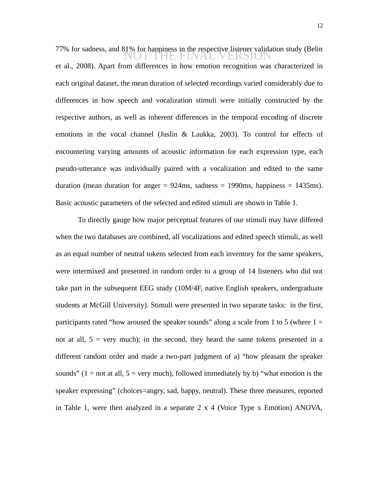77% for sadness, and 81% for happiness in the respective listener validation study (Belin<br>
NOT THE FINAL VERSION et al., 2008). Apart from differences in how emotion recognition was characterized in each original dataset, the mean duration of selected recordings varied considerably due to differences in how speech and vocalization stimuli were initially constructed by the respective authors, as well as inherent differences in the temporal encoding of discrete emotions in the vocal channel (Juslin & Laukka, 2003). To control for effects of encountering varying amounts of acoustic information for each expression type, each pseudo-utterance was individually paired with a vocalization and edited to the same duration (mean duration for anger  $= 924$ ms, sadness  $= 1990$ ms, happiness  $= 1435$ ms). Basic acoustic parameters of the selected and edited stimuli are shown in Table 1.

To directly gauge how major perceptual features of our stimuli may have differed when the two databases are combined, all vocalizations and edited speech stimuli, as well as an equal number of neutral tokens selected from each inventory for the same speakers, were intermixed and presented in random order to a group of 14 listeners who did not take part in the subsequent EEG study (10M/4F, native English speakers, undergraduate students at McGill University). Stimuli were presented in two separate tasks: in the first, participants rated "how aroused the speaker sounds" along a scale from 1 to 5 (where  $1 =$ not at all,  $5 =$  very much); in the second, they heard the same tokens presented in a different random order and made a two-part judgment of a) "how pleasant the speaker sounds" ( $1 =$  not at all,  $5 =$  very much), followed immediately by b) "what emotion is the speaker expressing" (choices=angry, sad, happy, neutral). These three measures, reported in Table 1, were then analyzed in a separate 2 x 4 (Voice Type x Emotion) ANOVA,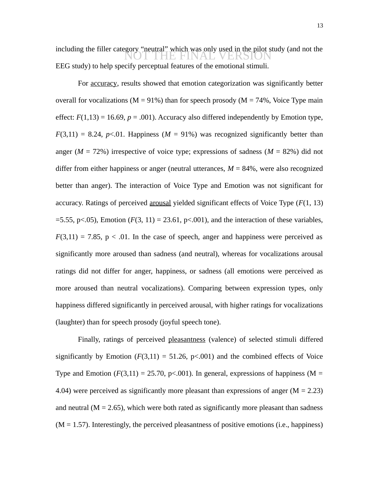including the filler category "neutral" which was only used in the pilot study (and not the metal of the FINAL VERSION EEG study) to help specify perceptual features of the emotional stimuli.

For accuracy, results showed that emotion categorization was significantly better overall for vocalizations ( $M = 91\%$ ) than for speech prosody ( $M = 74\%$ , Voice Type main effect:  $F(1,13) = 16.69$ ,  $p = .001$ ). Accuracy also differed independently by Emotion type,  $F(3,11) = 8.24$ ,  $p<0.01$ . Happiness ( $M = 91\%$ ) was recognized significantly better than anger (*M* = 72%) irrespective of voice type; expressions of sadness (*M* = 82%) did not differ from either happiness or anger (neutral utterances,  $M = 84\%$ , were also recognized better than anger). The interaction of Voice Type and Emotion was not significant for accuracy. Ratings of perceived arousal yielded significant effects of Voice Type (*F*(1, 13)  $=$  5.55, p<.05), Emotion ( $F(3, 11) = 23.61$ , p<.001), and the interaction of these variables,  $F(3,11) = 7.85$ ,  $p < .01$ . In the case of speech, anger and happiness were perceived as significantly more aroused than sadness (and neutral), whereas for vocalizations arousal ratings did not differ for anger, happiness, or sadness (all emotions were perceived as more aroused than neutral vocalizations). Comparing between expression types, only happiness differed significantly in perceived arousal, with higher ratings for vocalizations (laughter) than for speech prosody (joyful speech tone).

Finally, ratings of perceived pleasantness (valence) of selected stimuli differed significantly by Emotion  $(F(3,11) = 51.26, p<0.01)$  and the combined effects of Voice Type and Emotion  $(F(3,11) = 25.70, p<0.001)$ . In general, expressions of happiness (M = 4.04) were perceived as significantly more pleasant than expressions of anger ( $M = 2.23$ ) and neutral  $(M = 2.65)$ , which were both rated as significantly more pleasant than sadness  $(M = 1.57)$ . Interestingly, the perceived pleasantness of positive emotions (i.e., happiness)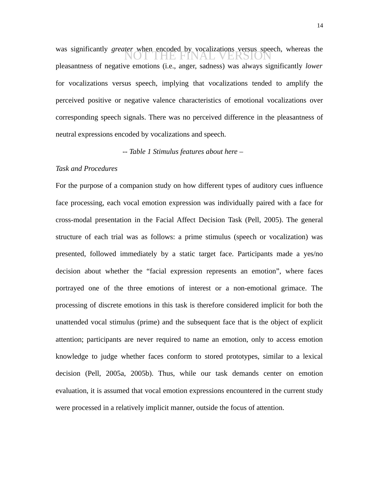was significantly *greater* when encoded by vocalizations versus speech, whereas the pleasantness of negative emotions (i.e., anger, sadness) was always significantly *lower* for vocalizations versus speech, implying that vocalizations tended to amplify the perceived positive or negative valence characteristics of emotional vocalizations over corresponding speech signals. There was no perceived difference in the pleasantness of neutral expressions encoded by vocalizations and speech.

*-- Table 1 Stimulus features about here –* 

## *Task and Procedures*

For the purpose of a companion study on how different types of auditory cues influence face processing, each vocal emotion expression was individually paired with a face for cross-modal presentation in the Facial Affect Decision Task (Pell, 2005). The general structure of each trial was as follows: a prime stimulus (speech or vocalization) was presented, followed immediately by a static target face. Participants made a yes/no decision about whether the "facial expression represents an emotion", where faces portrayed one of the three emotions of interest or a non-emotional grimace. The processing of discrete emotions in this task is therefore considered implicit for both the unattended vocal stimulus (prime) and the subsequent face that is the object of explicit attention; participants are never required to name an emotion, only to access emotion knowledge to judge whether faces conform to stored prototypes, similar to a lexical decision (Pell, 2005a, 2005b). Thus, while our task demands center on emotion evaluation, it is assumed that vocal emotion expressions encountered in the current study were processed in a relatively implicit manner, outside the focus of attention.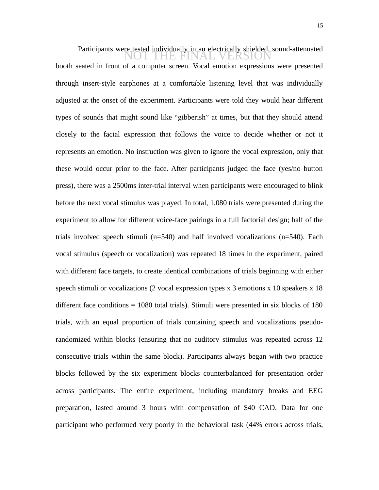Participants were tested individually in an electrically shielded, sound-attenuated<br>
NOT THE FINAL VERSION booth seated in front of a computer screen. Vocal emotion expressions were presented through insert-style earphones at a comfortable listening level that was individually adjusted at the onset of the experiment. Participants were told they would hear different types of sounds that might sound like "gibberish" at times, but that they should attend closely to the facial expression that follows the voice to decide whether or not it represents an emotion. No instruction was given to ignore the vocal expression, only that these would occur prior to the face. After participants judged the face (yes/no button press), there was a 2500ms inter-trial interval when participants were encouraged to blink before the next vocal stimulus was played. In total, 1,080 trials were presented during the experiment to allow for different voice-face pairings in a full factorial design; half of the trials involved speech stimuli ( $n=540$ ) and half involved vocalizations ( $n=540$ ). Each vocal stimulus (speech or vocalization) was repeated 18 times in the experiment, paired with different face targets, to create identical combinations of trials beginning with either speech stimuli or vocalizations (2 vocal expression types  $x$  3 emotions  $x$  10 speakers  $x$  18 different face conditions = 1080 total trials). Stimuli were presented in six blocks of 180 trials, with an equal proportion of trials containing speech and vocalizations pseudorandomized within blocks (ensuring that no auditory stimulus was repeated across 12 consecutive trials within the same block). Participants always began with two practice blocks followed by the six experiment blocks counterbalanced for presentation order across participants. The entire experiment, including mandatory breaks and EEG preparation, lasted around 3 hours with compensation of \$40 CAD. Data for one participant who performed very poorly in the behavioral task (44% errors across trials,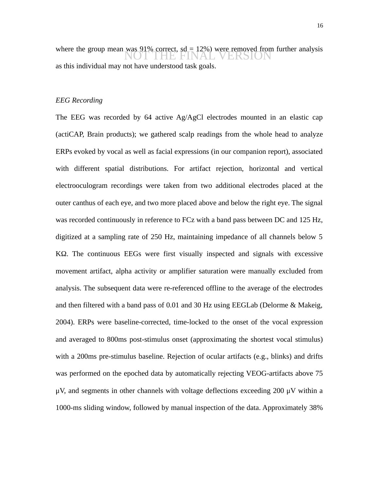where the group mean was 91% correct,  $sd = 12\%$ ) were removed from further analysis<br>NOT THE FINAL VERSION as this individual may not have understood task goals.

### *EEG Recording*

The EEG was recorded by 64 active Ag/AgCl electrodes mounted in an elastic cap (actiCAP, Brain products); we gathered scalp readings from the whole head to analyze ERPs evoked by vocal as well as facial expressions (in our companion report), associated with different spatial distributions. For artifact rejection, horizontal and vertical electrooculogram recordings were taken from two additional electrodes placed at the outer canthus of each eye, and two more placed above and below the right eye. The signal was recorded continuously in reference to FCz with a band pass between DC and 125 Hz, digitized at a sampling rate of 250 Hz, maintaining impedance of all channels below 5 KΩ. The continuous EEGs were first visually inspected and signals with excessive movement artifact, alpha activity or amplifier saturation were manually excluded from analysis. The subsequent data were re-referenced offline to the average of the electrodes and then filtered with a band pass of 0.01 and 30 Hz using EEGLab (Delorme & Makeig, 2004). ERPs were baseline-corrected, time-locked to the onset of the vocal expression and averaged to 800ms post-stimulus onset (approximating the shortest vocal stimulus) with a 200ms pre-stimulus baseline. Rejection of ocular artifacts (e.g., blinks) and drifts was performed on the epoched data by automatically rejecting VEOG-artifacts above 75  $\mu$ V, and segments in other channels with voltage deflections exceeding 200  $\mu$ V within a 1000-ms sliding window, followed by manual inspection of the data. Approximately 38%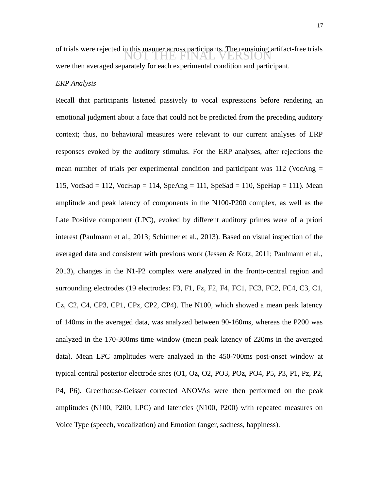of trials were rejected in this manner across participants. The remaining artifact-free trials<br>
NOT THE FINAL VERSION were then averaged separately for each experimental condition and participant.

## *ERP Analysis*

Recall that participants listened passively to vocal expressions before rendering an emotional judgment about a face that could not be predicted from the preceding auditory context; thus, no behavioral measures were relevant to our current analyses of ERP responses evoked by the auditory stimulus. For the ERP analyses, after rejections the mean number of trials per experimental condition and participant was 112 (VocAng  $=$ 115, VocSad = 112, VocHap = 114, SpeAng = 111, SpeSad = 110, SpeHap = 111). Mean amplitude and peak latency of components in the N100-P200 complex, as well as the Late Positive component (LPC), evoked by different auditory primes were of a priori interest (Paulmann et al., 2013; Schirmer et al., 2013). Based on visual inspection of the averaged data and consistent with previous work (Jessen & Kotz, 2011; Paulmann et al., 2013), changes in the N1-P2 complex were analyzed in the fronto-central region and surrounding electrodes (19 electrodes: F3, F1, Fz, F2, F4, FC1, FC3, FC2, FC4, C3, C1, Cz, C2, C4, CP3, CP1, CPz, CP2, CP4). The N100, which showed a mean peak latency of 140ms in the averaged data, was analyzed between 90-160ms, whereas the P200 was analyzed in the 170-300ms time window (mean peak latency of 220ms in the averaged data). Mean LPC amplitudes were analyzed in the 450-700ms post-onset window at typical central posterior electrode sites (O1, Oz, O2, PO3, POz, PO4, P5, P3, P1, Pz, P2, P4, P6). Greenhouse-Geisser corrected ANOVAs were then performed on the peak amplitudes (N100, P200, LPC) and latencies (N100, P200) with repeated measures on Voice Type (speech, vocalization) and Emotion (anger, sadness, happiness).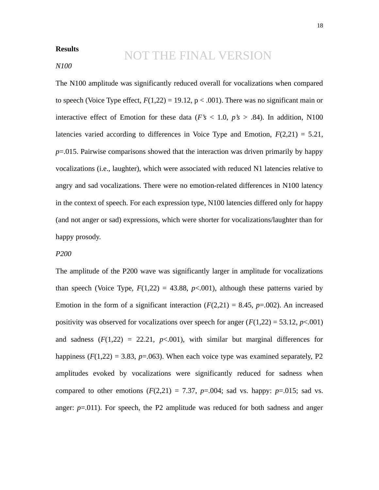# **Results**

# NOT THE FINAL VERSION

# *N100*

The N100 amplitude was significantly reduced overall for vocalizations when compared to speech (Voice Type effect,  $F(1,22) = 19.12$ ,  $p < .001$ ). There was no significant main or interactive effect of Emotion for these data ( $F's < 1.0$ ,  $p's > .84$ ). In addition, N100 latencies varied according to differences in Voice Type and Emotion, *F*(2,21) = 5.21, *p*=.015. Pairwise comparisons showed that the interaction was driven primarily by happy vocalizations (i.e., laughter), which were associated with reduced N1 latencies relative to angry and sad vocalizations. There were no emotion-related differences in N100 latency in the context of speech. For each expression type, N100 latencies differed only for happy (and not anger or sad) expressions, which were shorter for vocalizations/laughter than for happy prosody.

## *P200*

The amplitude of the P200 wave was significantly larger in amplitude for vocalizations than speech (Voice Type,  $F(1,22) = 43.88$ ,  $p<.001$ ), although these patterns varied by Emotion in the form of a significant interaction  $(F(2,21) = 8.45, p=0.002)$ . An increased positivity was observed for vocalizations over speech for anger  $(F(1,22) = 53.12, p<.001)$ and sadness  $(F(1,22) = 22.21, p<0.001)$ , with similar but marginal differences for happiness  $(F(1,22) = 3.83, p=.063)$ . When each voice type was examined separately, P2 amplitudes evoked by vocalizations were significantly reduced for sadness when compared to other emotions  $(F(2,21) = 7.37, p=.004$ ; sad vs. happy:  $p=.015$ ; sad vs. anger: *p*=.011). For speech, the P2 amplitude was reduced for both sadness and anger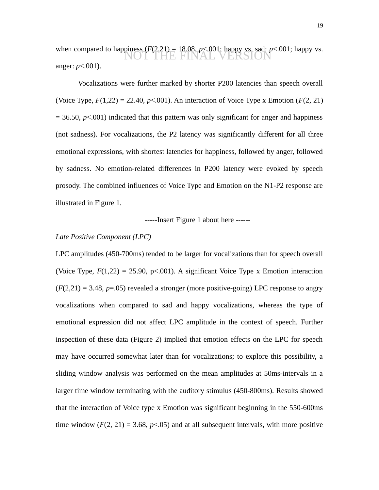when compared to happiness  $(F(2,21) = 18.08, p < .001$ ; happy vs. sad:  $p < .001$ ; happy vs. anger: *p*<.001). NOT THE FINAL **'** 

Vocalizations were further marked by shorter P200 latencies than speech overall (Voice Type, *F*(1,22) = 22.40, *p*<.001). An interaction of Voice Type x Emotion (*F*(2, 21)  $= 36.50$ ,  $p < .001$ ) indicated that this pattern was only significant for anger and happiness (not sadness). For vocalizations, the P2 latency was significantly different for all three emotional expressions, with shortest latencies for happiness, followed by anger, followed by sadness. No emotion-related differences in P200 latency were evoked by speech prosody. The combined influences of Voice Type and Emotion on the N1-P2 response are illustrated in Figure 1.

-----Insert Figure 1 about here ------

## *Late Positive Component (LPC)*

LPC amplitudes (450-700ms) tended to be larger for vocalizations than for speech overall (Voice Type,  $F(1,22) = 25.90$ ,  $p<0.001$ ). A significant Voice Type x Emotion interaction  $(F(2,21) = 3.48, p=.05)$  revealed a stronger (more positive-going) LPC response to angry vocalizations when compared to sad and happy vocalizations, whereas the type of emotional expression did not affect LPC amplitude in the context of speech. Further inspection of these data (Figure 2) implied that emotion effects on the LPC for speech may have occurred somewhat later than for vocalizations; to explore this possibility, a sliding window analysis was performed on the mean amplitudes at 50ms-intervals in a larger time window terminating with the auditory stimulus (450-800ms). Results showed that the interaction of Voice type x Emotion was significant beginning in the 550-600ms time window  $(F(2, 21) = 3.68, p<0.05)$  and at all subsequent intervals, with more positive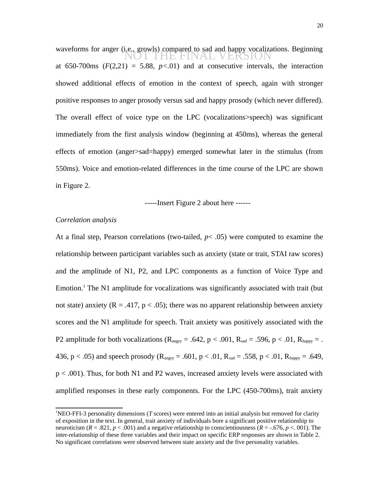waveforms for anger (i.e., growls) compared to sad and happy vocalizations. Beginning at 650-700ms  $(F(2,21) = 5.88, p<0.01)$  and at consecutive intervals, the interaction showed additional effects of emotion in the context of speech, again with stronger positive responses to anger prosody versus sad and happy prosody (which never differed). The overall effect of voice type on the LPC (vocalizations>speech) was significant immediately from the first analysis window (beginning at 450ms), whereas the general effects of emotion (anger>sad=happy) emerged somewhat later in the stimulus (from 550ms). Voice and emotion-related differences in the time course of the LPC are shown in Figure 2. THE FINAL VERS

-----Insert Figure 2 about here ------

#### *Correlation analysis*

At a final step, Pearson correlations (two-tailed, *p*< .05) were computed to examine the relationship between participant variables such as anxiety (state or trait, STAI raw scores) and the amplitude of N1, P2, and LPC components as a function of Voice Type and Emotion.<sup>[1](#page-19-0)</sup> The N1 amplitude for vocalizations was significantly associated with trait (but not state) anxiety ( $R = .417$ ,  $p < .05$ ); there was no apparent relationship between anxiety scores and the N1 amplitude for speech. Trait anxiety was positively associated with the P2 amplitude for both vocalizations ( $R_{\text{angry}} = .642$ ,  $p < .001$ ,  $R_{\text{sad}} = .596$ ,  $p < .01$ ,  $R_{\text{happy}} = .$ 436, p < .05) and speech prosody ( $R_{\text{angry}} = .601$ , p < .01,  $R_{\text{sad}} = .558$ , p < .01,  $R_{\text{happy}} = .649$ , p < .001). Thus, for both N1 and P2 waves, increased anxiety levels were associated with amplified responses in these early components. For the LPC (450-700ms), trait anxiety

<span id="page-19-0"></span><sup>1</sup>NEO-FFI-3 personality dimensions (*T* scores) were entered into an initial analysis but removed for clarity of exposition in the text. In general, trait anxiety of individuals bore a significant positive relationship to neuroticism (*R* = .821, *p* < .001) and a negative relationship to conscientiousness (*R* = -.676, *p* <. 001). The inter-relationship of these three variables and their impact on specific ERP responses are shown in Table 2. No significant correlations were observed between state anxiety and the five personality variables.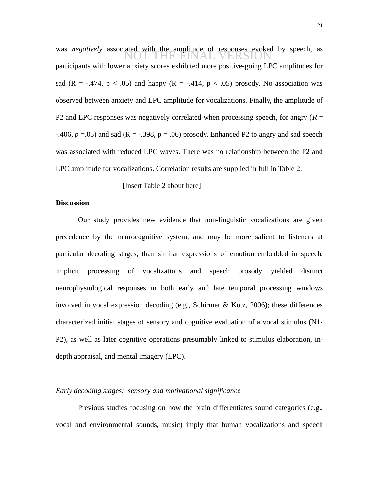was *negatively* associated with the amplitude of responses evoked by speech, as participants with lower anxiety scores exhibited more positive-going LPC amplitudes for sad (R =  $-.474$ , p < .05) and happy (R =  $-.414$ , p < .05) prosody. No association was observed between anxiety and LPC amplitude for vocalizations. Finally, the amplitude of P2 and LPC responses was negatively correlated when processing speech, for angry (*R* =  $-406$ ,  $p = 0.05$ ) and sad (R =  $-398$ ,  $p = 0.06$ ) prosody. Enhanced P2 to angry and sad speech was associated with reduced LPC waves. There was no relationship between the P2 and LPC amplitude for vocalizations. Correlation results are supplied in full in Table 2.

[Insert Table 2 about here]

## **Discussion**

Our study provides new evidence that non-linguistic vocalizations are given precedence by the neurocognitive system, and may be more salient to listeners at particular decoding stages, than similar expressions of emotion embedded in speech. Implicit processing of vocalizations and speech prosody yielded distinct neurophysiological responses in both early and late temporal processing windows involved in vocal expression decoding (e.g., Schirmer & Kotz, 2006); these differences characterized initial stages of sensory and cognitive evaluation of a vocal stimulus (N1- P2), as well as later cognitive operations presumably linked to stimulus elaboration, indepth appraisal, and mental imagery (LPC).

#### *Early decoding stages: sensory and motivational significance*

Previous studies focusing on how the brain differentiates sound categories (e.g., vocal and environmental sounds, music) imply that human vocalizations and speech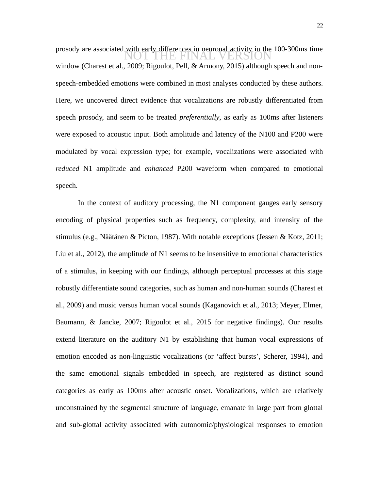prosody are associated with early differences in neuronal activity in the 100-300ms time<br>
NOT THE FINAL VERSION window (Charest et al., 2009; Rigoulot, Pell, & Armony, 2015) although speech and nonspeech-embedded emotions were combined in most analyses conducted by these authors. Here, we uncovered direct evidence that vocalizations are robustly differentiated from speech prosody, and seem to be treated *preferentially*, as early as 100ms after listeners were exposed to acoustic input. Both amplitude and latency of the N100 and P200 were modulated by vocal expression type; for example, vocalizations were associated with *reduced* N1 amplitude and *enhanced* P200 waveform when compared to emotional speech.

In the context of auditory processing, the N1 component gauges early sensory encoding of physical properties such as frequency, complexity, and intensity of the stimulus (e.g., Näätänen & Picton, 1987). With notable exceptions (Jessen & Kotz, 2011; Liu et al., 2012), the amplitude of N1 seems to be insensitive to emotional characteristics of a stimulus, in keeping with our findings, although perceptual processes at this stage robustly differentiate sound categories, such as human and non-human sounds (Charest et al., 2009) and music versus human vocal sounds (Kaganovich et al., 2013; Meyer, Elmer, Baumann, & Jancke, 2007; Rigoulot et al., 2015 for negative findings). Our results extend literature on the auditory N1 by establishing that human vocal expressions of emotion encoded as non-linguistic vocalizations (or 'affect bursts', Scherer, 1994), and the same emotional signals embedded in speech, are registered as distinct sound categories as early as 100ms after acoustic onset. Vocalizations, which are relatively unconstrained by the segmental structure of language, emanate in large part from glottal and sub-glottal activity associated with autonomic/physiological responses to emotion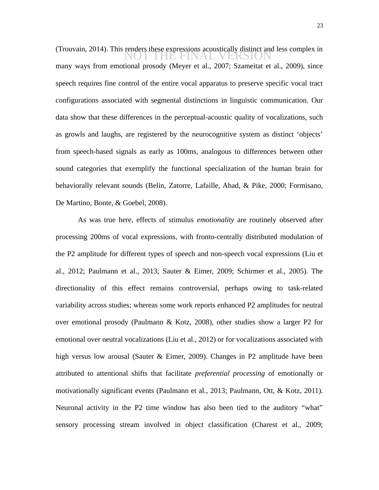(Trouvain, 2014). This renders these expressions acoustically distinct and less complex in<br>NOT THE FINAL VERSION many ways from emotional prosody (Meyer et al., 2007; Szameitat et al., 2009), since speech requires fine control of the entire vocal apparatus to preserve specific vocal tract configurations associated with segmental distinctions in linguistic communication. Our data show that these differences in the perceptual-acoustic quality of vocalizations, such as growls and laughs, are registered by the neurocognitive system as distinct 'objects' from speech-based signals as early as 100ms, analogous to differences between other sound categories that exemplify the functional specialization of the human brain for behaviorally relevant sounds (Belin, Zatorre, Lafaille, Ahad, & Pike, 2000; Formisano, De Martino, Bonte, & Goebel, 2008).

As was true here, effects of stimulus *emotionality* are routinely observed after processing 200ms of vocal expressions, with fronto-centrally distributed modulation of the P2 amplitude for different types of speech and non-speech vocal expressions (Liu et al., 2012; Paulmann et al., 2013; Sauter & Eimer, 2009; Schirmer et al., 2005). The directionality of this effect remains controversial, perhaps owing to task-related variability across studies; whereas some work reports enhanced P2 amplitudes for neutral over emotional prosody (Paulmann & Kotz, 2008), other studies show a larger P2 for emotional over neutral vocalizations (Liu et al., 2012) or for vocalizations associated with high versus low arousal (Sauter & Eimer, 2009). Changes in P2 amplitude have been attributed to attentional shifts that facilitate *preferential processing* of emotionally or motivationally significant events (Paulmann et al., 2013; Paulmann, Ott, & Kotz, 2011). Neuronal activity in the P2 time window has also been tied to the auditory "what" sensory processing stream involved in object classification (Charest et al., 2009;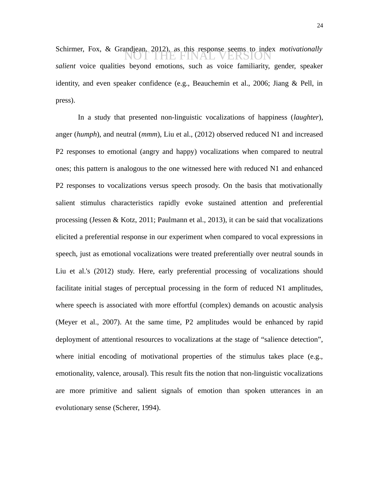Schirmer, Fox, & Grandjean, 2012), as this response seems to index *motivationally*<br>
NOT THE FINAL VERSION *salient* voice qualities beyond emotions, such as voice familiarity, gender, speaker identity, and even speaker confidence (e.g., Beauchemin et al., 2006; Jiang & Pell, in press).

In a study that presented non-linguistic vocalizations of happiness (*laughter*), anger (*humph*), and neutral (*mmm*), Liu et al., (2012) observed reduced N1 and increased P2 responses to emotional (angry and happy) vocalizations when compared to neutral ones; this pattern is analogous to the one witnessed here with reduced N1 and enhanced P2 responses to vocalizations versus speech prosody. On the basis that motivationally salient stimulus characteristics rapidly evoke sustained attention and preferential processing (Jessen & Kotz, 2011; Paulmann et al., 2013), it can be said that vocalizations elicited a preferential response in our experiment when compared to vocal expressions in speech, just as emotional vocalizations were treated preferentially over neutral sounds in Liu et al.'s (2012) study. Here, early preferential processing of vocalizations should facilitate initial stages of perceptual processing in the form of reduced N1 amplitudes, where speech is associated with more effortful (complex) demands on acoustic analysis (Meyer et al., 2007). At the same time, P2 amplitudes would be enhanced by rapid deployment of attentional resources to vocalizations at the stage of "salience detection", where initial encoding of motivational properties of the stimulus takes place (e.g., emotionality, valence, arousal). This result fits the notion that non-linguistic vocalizations are more primitive and salient signals of emotion than spoken utterances in an evolutionary sense (Scherer, 1994).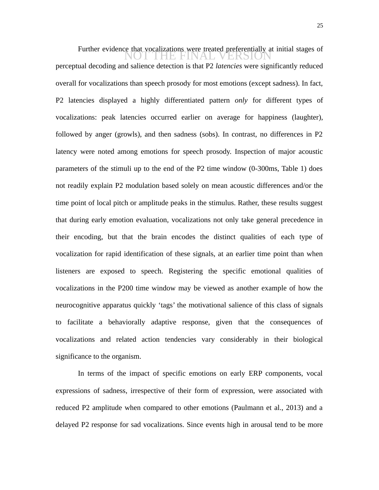Further evidence that vocalizations were treated preferentially at initial stages of<br> $\Box$ perceptual decoding and salience detection is that P2 *latencies* were significantly reduced overall for vocalizations than speech prosody for most emotions (except sadness). In fact, P2 latencies displayed a highly differentiated pattern *only* for different types of vocalizations: peak latencies occurred earlier on average for happiness (laughter), followed by anger (growls), and then sadness (sobs). In contrast, no differences in P2 latency were noted among emotions for speech prosody. Inspection of major acoustic parameters of the stimuli up to the end of the P2 time window (0-300ms, Table 1) does not readily explain P2 modulation based solely on mean acoustic differences and/or the time point of local pitch or amplitude peaks in the stimulus. Rather, these results suggest that during early emotion evaluation, vocalizations not only take general precedence in their encoding, but that the brain encodes the distinct qualities of each type of vocalization for rapid identification of these signals, at an earlier time point than when listeners are exposed to speech. Registering the specific emotional qualities of vocalizations in the P200 time window may be viewed as another example of how the neurocognitive apparatus quickly 'tags' the motivational salience of this class of signals to facilitate a behaviorally adaptive response, given that the consequences of vocalizations and related action tendencies vary considerably in their biological significance to the organism.

In terms of the impact of specific emotions on early ERP components, vocal expressions of sadness, irrespective of their form of expression, were associated with reduced P2 amplitude when compared to other emotions (Paulmann et al., 2013) and a delayed P2 response for sad vocalizations. Since events high in arousal tend to be more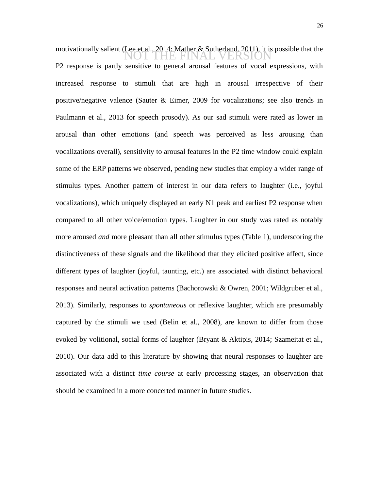motivationally salient (Lee et al., 2014; Mather & Sutherland, 2011), it is possible that the motivationally salient ( $\bigcup_{i=1}^{\infty}$ P2 response is partly sensitive to general arousal features of vocal expressions, with increased response to stimuli that are high in arousal irrespective of their positive/negative valence (Sauter & Eimer, 2009 for vocalizations; see also trends in Paulmann et al., 2013 for speech prosody). As our sad stimuli were rated as lower in arousal than other emotions (and speech was perceived as less arousing than vocalizations overall), sensitivity to arousal features in the P2 time window could explain some of the ERP patterns we observed, pending new studies that employ a wider range of stimulus types. Another pattern of interest in our data refers to laughter (i.e., joyful vocalizations), which uniquely displayed an early N1 peak and earliest P2 response when compared to all other voice/emotion types. Laughter in our study was rated as notably more aroused *and* more pleasant than all other stimulus types (Table 1), underscoring the distinctiveness of these signals and the likelihood that they elicited positive affect, since different types of laughter (joyful, taunting, etc.) are associated with distinct behavioral responses and neural activation patterns (Bachorowski & Owren, 2001; Wildgruber et al., 2013). Similarly, responses to *spontaneous* or reflexive laughter, which are presumably captured by the stimuli we used (Belin et al., 2008), are known to differ from those evoked by volitional, social forms of laughter (Bryant & Aktipis, 2014; Szameitat et al., 2010). Our data add to this literature by showing that neural responses to laughter are associated with a distinct *time course* at early processing stages, an observation that should be examined in a more concerted manner in future studies.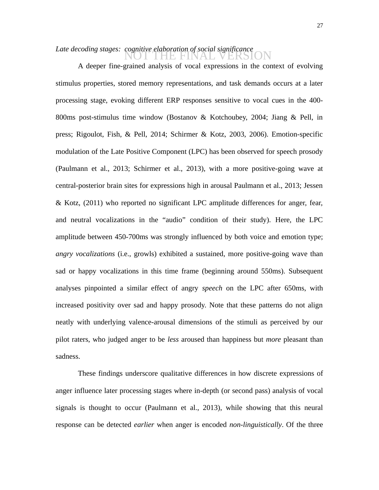# Late decoding stages: cognitive elaboration of social significance<br>NOT THE FINAL VERSION

A deeper fine-grained analysis of vocal expressions in the context of evolving stimulus properties, stored memory representations, and task demands occurs at a later processing stage, evoking different ERP responses sensitive to vocal cues in the 400- 800ms post-stimulus time window (Bostanov & Kotchoubey, 2004; Jiang & Pell, in press; Rigoulot, Fish, & Pell, 2014; Schirmer & Kotz, 2003, 2006). Emotion-specific modulation of the Late Positive Component (LPC) has been observed for speech prosody (Paulmann et al., 2013; Schirmer et al., 2013), with a more positive-going wave at central-posterior brain sites for expressions high in arousal Paulmann et al., 2013; Jessen & Kotz, (2011) who reported no significant LPC amplitude differences for anger, fear, and neutral vocalizations in the "audio" condition of their study). Here, the LPC amplitude between 450-700ms was strongly influenced by both voice and emotion type; *angry vocalizations* (i.e., growls) exhibited a sustained, more positive-going wave than sad or happy vocalizations in this time frame (beginning around 550ms). Subsequent analyses pinpointed a similar effect of angry *speech* on the LPC after 650ms, with increased positivity over sad and happy prosody. Note that these patterns do not align neatly with underlying valence-arousal dimensions of the stimuli as perceived by our pilot raters, who judged anger to be *less* aroused than happiness but *more* pleasant than sadness.

These findings underscore qualitative differences in how discrete expressions of anger influence later processing stages where in-depth (or second pass) analysis of vocal signals is thought to occur (Paulmann et al., 2013), while showing that this neural response can be detected *earlier* when anger is encoded *non-linguistically*. Of the three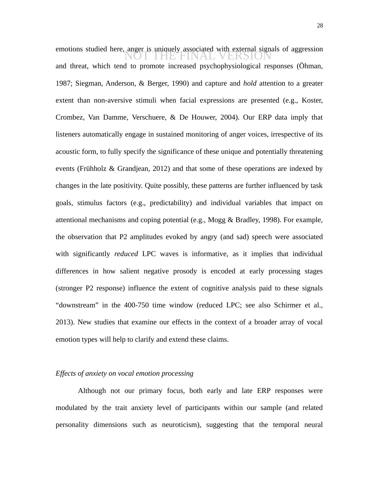emotions studied here, anger is uniquely associated with external signals of aggression emotions studied here, anger is uniquely associated with external signals of aggression and threat, which tend to promote increased psychophysiological responses (Öhman, 1987; Siegman, Anderson, & Berger, 1990) and capture and *hold* attention to a greater extent than non-aversive stimuli when facial expressions are presented (e.g., Koster, Crombez, Van Damme, Verschuere, & De Houwer, 2004). Our ERP data imply that listeners automatically engage in sustained monitoring of anger voices, irrespective of its acoustic form, to fully specify the significance of these unique and potentially threatening events (Frühholz & Grandjean, 2012) and that some of these operations are indexed by changes in the late positivity. Quite possibly, these patterns are further influenced by task goals, stimulus factors (e.g., predictability) and individual variables that impact on attentional mechanisms and coping potential (e.g., Mogg & Bradley, 1998). For example, the observation that P2 amplitudes evoked by angry (and sad) speech were associated with significantly *reduced* LPC waves is informative, as it implies that individual differences in how salient negative prosody is encoded at early processing stages (stronger P2 response) influence the extent of cognitive analysis paid to these signals "downstream" in the 400-750 time window (reduced LPC; see also Schirmer et al., 2013). New studies that examine our effects in the context of a broader array of vocal emotion types will help to clarify and extend these claims.

# *Effects of anxiety on vocal emotion processing*

Although not our primary focus, both early and late ERP responses were modulated by the trait anxiety level of participants within our sample (and related personality dimensions such as neuroticism), suggesting that the temporal neural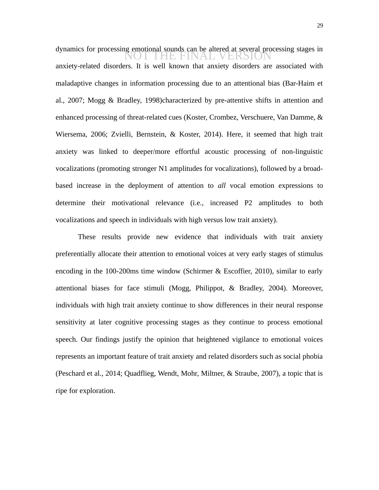dynamics for processing emotional sounds can be altered at several processing stages in<br>NOT THE FINAL VERSION anxiety-related disorders. It is well known that anxiety disorders are associated with maladaptive changes in information processing due to an attentional bias (Bar-Haim et al., 2007; Mogg & Bradley, 1998)characterized by pre-attentive shifts in attention and enhanced processing of threat-related cues (Koster, Crombez, Verschuere, Van Damme, & Wiersema, 2006; Zvielli, Bernstein, & Koster, 2014). Here, it seemed that high trait anxiety was linked to deeper/more effortful acoustic processing of non-linguistic vocalizations (promoting stronger N1 amplitudes for vocalizations), followed by a broadbased increase in the deployment of attention to *all* vocal emotion expressions to determine their motivational relevance (i.e., increased P2 amplitudes to both vocalizations and speech in individuals with high versus low trait anxiety).

These results provide new evidence that individuals with trait anxiety preferentially allocate their attention to emotional voices at very early stages of stimulus encoding in the 100-200ms time window (Schirmer & Escoffier, 2010), similar to early attentional biases for face stimuli (Mogg, Philippot, & Bradley, 2004). Moreover, individuals with high trait anxiety continue to show differences in their neural response sensitivity at later cognitive processing stages as they continue to process emotional speech. Our findings justify the opinion that heightened vigilance to emotional voices represents an important feature of trait anxiety and related disorders such as social phobia (Peschard et al., 2014; Quadflieg, Wendt, Mohr, Miltner, & Straube, 2007), a topic that is ripe for exploration.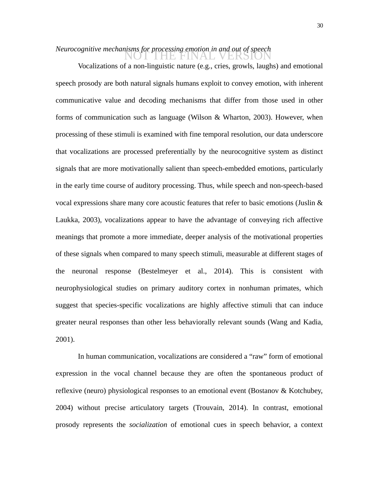# *Neurocognitive mechanisms for processing emotion in and out of speech*<br>NOT THE FINAL VERSION

Vocalizations of a non-linguistic nature (e.g., cries, growls, laughs) and emotional speech prosody are both natural signals humans exploit to convey emotion, with inherent communicative value and decoding mechanisms that differ from those used in other forms of communication such as language (Wilson & Wharton, 2003). However, when processing of these stimuli is examined with fine temporal resolution, our data underscore that vocalizations are processed preferentially by the neurocognitive system as distinct signals that are more motivationally salient than speech-embedded emotions, particularly in the early time course of auditory processing. Thus, while speech and non-speech-based vocal expressions share many core acoustic features that refer to basic emotions (Juslin & Laukka, 2003), vocalizations appear to have the advantage of conveying rich affective meanings that promote a more immediate, deeper analysis of the motivational properties of these signals when compared to many speech stimuli, measurable at different stages of the neuronal response (Bestelmeyer et al., 2014). This is consistent with neurophysiological studies on primary auditory cortex in nonhuman primates, which suggest that species-specific vocalizations are highly affective stimuli that can induce greater neural responses than other less behaviorally relevant sounds (Wang and Kadia, 2001).

In human communication, vocalizations are considered a "raw" form of emotional expression in the vocal channel because they are often the spontaneous product of reflexive (neuro) physiological responses to an emotional event (Bostanov & Kotchubey, 2004) without precise articulatory targets (Trouvain, 2014). In contrast, emotional prosody represents the *socialization* of emotional cues in speech behavior, a context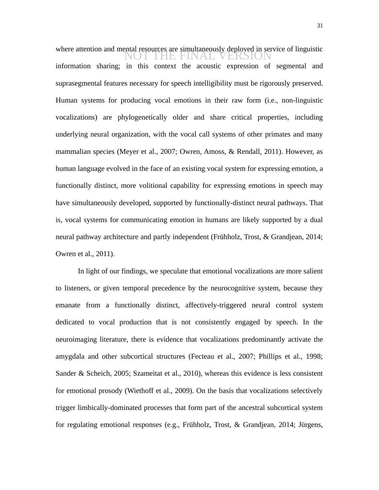where attention and mental resources are simultaneously deployed in service of linguistic where attention and mental resources are simultaneously deployed in service of linguistic information sharing; in this context the acoustic expression of segmental and suprasegmental features necessary for speech intelligibility must be rigorously preserved. Human systems for producing vocal emotions in their raw form (i.e., non-linguistic vocalizations) are phylogenetically older and share critical properties, including underlying neural organization, with the vocal call systems of other primates and many mammalian species (Meyer et al., 2007; Owren, Amoss, & Rendall, 2011). However, as human language evolved in the face of an existing vocal system for expressing emotion, a functionally distinct, more volitional capability for expressing emotions in speech may have simultaneously developed, supported by functionally-distinct neural pathways. That is, vocal systems for communicating emotion in humans are likely supported by a dual neural pathway architecture and partly independent (Frühholz, Trost, & Grandjean, 2014; Owren et al., 2011).

In light of our findings, we speculate that emotional vocalizations are more salient to listeners, or given temporal precedence by the neurocognitive system, because they emanate from a functionally distinct, affectively-triggered neural control system dedicated to vocal production that is not consistently engaged by speech. In the neuroimaging literature, there is evidence that vocalizations predominantly activate the amygdala and other subcortical structures (Fecteau et al., 2007; Phillips et al., 1998; Sander & Scheich, 2005; Szameitat et al., 2010), whereas this evidence is less consistent for emotional prosody (Wiethoff et al., 2009). On the basis that vocalizations selectively trigger limbically-dominated processes that form part of the ancestral subcortical system for regulating emotional responses (e.g., Frühholz, Trost, & Grandjean, 2014; Jürgens,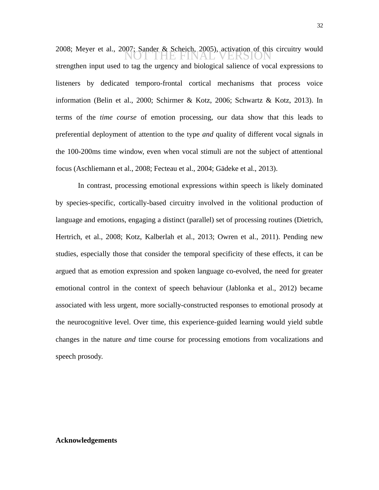2008; Meyer et al., 2007; Sander & Scheich, 2005), activation of this circuitry would<br>NOT THE FINAL VERSION strengthen input used to tag the urgency and biological salience of vocal expressions to listeners by dedicated temporo-frontal cortical mechanisms that process voice information (Belin et al., 2000; Schirmer & Kotz, 2006; Schwartz & Kotz, 2013). In terms of the *time course* of emotion processing, our data show that this leads to preferential deployment of attention to the type *and* quality of different vocal signals in the 100-200ms time window, even when vocal stimuli are not the subject of attentional focus (Aschliemann et al., 2008; Fecteau et al., 2004; Gädeke et al., 2013).

In contrast, processing emotional expressions within speech is likely dominated by species-specific, cortically-based circuitry involved in the volitional production of language and emotions, engaging a distinct (parallel) set of processing routines (Dietrich, Hertrich, et al., 2008; Kotz, Kalberlah et al., 2013; Owren et al., 2011). Pending new studies, especially those that consider the temporal specificity of these effects, it can be argued that as emotion expression and spoken language co-evolved, the need for greater emotional control in the context of speech behaviour (Jablonka et al., 2012) became associated with less urgent, more socially-constructed responses to emotional prosody at the neurocognitive level. Over time, this experience-guided learning would yield subtle changes in the nature *and* time course for processing emotions from vocalizations and speech prosody.

## **Acknowledgements**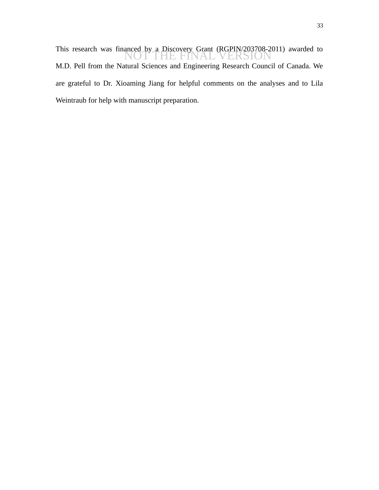This research was financed by a Discovery Grant (RGPIN/203708-2011) awarded to<br>NOT THE FINAL VERSION M.D. Pell from the Natural Sciences and Engineering Research Council of Canada. We are grateful to Dr. Xioaming Jiang for helpful comments on the analyses and to Lila Weintraub for help with manuscript preparation.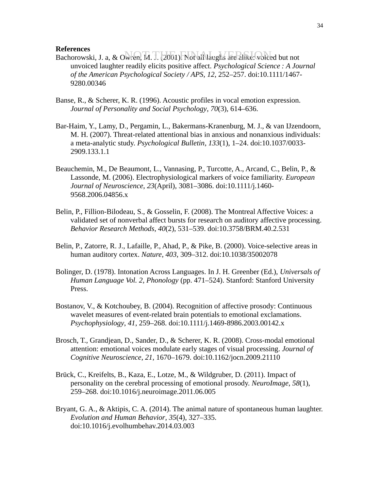# **References**

- References<br>Bachorowski, J. a, & Owren, M. J. (2001). Not all laughs are alike: voiced but not unvoiced laughter readily elicits positive affect. *Psychological Science : A Journal of the American Psychological Society / APS*, *12*, 252–257. doi:10.1111/1467- 9280.00346
- Banse, R., & Scherer, K. R. (1996). Acoustic profiles in vocal emotion expression. *Journal of Personality and Social Psychology*, *70*(3), 614–636.
- Bar-Haim, Y., Lamy, D., Pergamin, L., Bakermans-Kranenburg, M. J., & van IJzendoorn, M. H. (2007). Threat-related attentional bias in anxious and nonanxious individuals: a meta-analytic study. *Psychological Bulletin*, *133*(1), 1–24. doi:10.1037/0033- 2909.133.1.1
- Beauchemin, M., De Beaumont, L., Vannasing, P., Turcotte, A., Arcand, C., Belin, P., & Lassonde, M. (2006). Electrophysiological markers of voice familiarity. *European Journal of Neuroscience*, *23*(April), 3081–3086. doi:10.1111/j.1460- 9568.2006.04856.x
- Belin, P., Fillion-Bilodeau, S., & Gosselin, F. (2008). The Montreal Affective Voices: a validated set of nonverbal affect bursts for research on auditory affective processing. *Behavior Research Methods*, *40*(2), 531–539. doi:10.3758/BRM.40.2.531
- Belin, P., Zatorre, R. J., Lafaille, P., Ahad, P., & Pike, B. (2000). Voice-selective areas in human auditory cortex. *Nature*, *403*, 309–312. doi:10.1038/35002078
- Bolinger, D. (1978). Intonation Across Languages. In J. H. Greenber (Ed.), *Universals of Human Language Vol. 2, Phonology* (pp. 471–524). Stanford: Stanford University Press.
- Bostanov, V., & Kotchoubey, B. (2004). Recognition of affective prosody: Continuous wavelet measures of event-related brain potentials to emotional exclamations. *Psychophysiology*, *41*, 259–268. doi:10.1111/j.1469-8986.2003.00142.x
- Brosch, T., Grandjean, D., Sander, D., & Scherer, K. R. (2008). Cross-modal emotional attention: emotional voices modulate early stages of visual processing. *Journal of Cognitive Neuroscience*, *21*, 1670–1679. doi:10.1162/jocn.2009.21110
- Brück, C., Kreifelts, B., Kaza, E., Lotze, M., & Wildgruber, D. (2011). Impact of personality on the cerebral processing of emotional prosody. *NeuroImage*, *58*(1), 259–268. doi:10.1016/j.neuroimage.2011.06.005
- Bryant, G. A., & Aktipis, C. A. (2014). The animal nature of spontaneous human laughter. *Evolution and Human Behavior*, *35*(4), 327–335. doi:10.1016/j.evolhumbehav.2014.03.003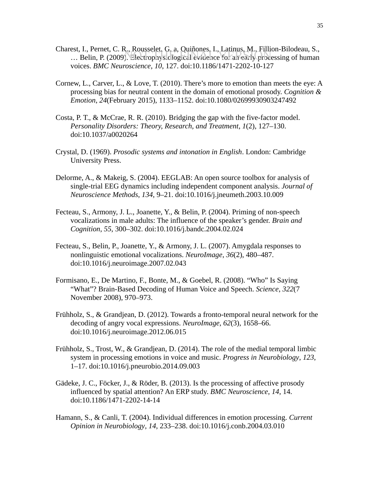- Charest, I., Pernet, C. R., Rousselet, G. a, Quiñones, I., Latinus, M., Fillion-Bilodeau, S., est, i., i efflet, C. K., Kousselett, O. a, Quinones, I., Launus, M., I mion-Dhoueau, S.,<br>... Belin, P. (2009). Electrophysiclogical evidence for an early processing of human voices. *BMC Neuroscience*, *10*, 127. doi:10.1186/1471-2202-10-127
- Cornew, L., Carver, L., & Love, T. (2010). There's more to emotion than meets the eye: A processing bias for neutral content in the domain of emotional prosody. *Cognition & Emotion*, *24*(February 2015), 1133–1152. doi:10.1080/02699930903247492
- Costa, P. T., & McCrae, R. R. (2010). Bridging the gap with the five-factor model. *Personality Disorders: Theory, Research, and Treatment*, *1*(2), 127–130. doi:10.1037/a0020264
- Crystal, D. (1969). *Prosodic systems and intonation in English*. London: Cambridge University Press.
- Delorme, A., & Makeig, S. (2004). EEGLAB: An open source toolbox for analysis of single-trial EEG dynamics including independent component analysis. *Journal of Neuroscience Methods*, *134*, 9–21. doi:10.1016/j.jneumeth.2003.10.009
- Fecteau, S., Armony, J. L., Joanette, Y., & Belin, P. (2004). Priming of non-speech vocalizations in male adults: The influence of the speaker's gender. *Brain and Cognition*, *55*, 300–302. doi:10.1016/j.bandc.2004.02.024
- Fecteau, S., Belin, P., Joanette, Y., & Armony, J. L. (2007). Amygdala responses to nonlinguistic emotional vocalizations. *NeuroImage*, *36*(2), 480–487. doi:10.1016/j.neuroimage.2007.02.043
- Formisano, E., De Martino, F., Bonte, M., & Goebel, R. (2008). "Who" Is Saying "What"? Brain-Based Decoding of Human Voice and Speech. *Science*, *322*(7 November 2008), 970–973.
- Frühholz, S., & Grandjean, D. (2012). Towards a fronto-temporal neural network for the decoding of angry vocal expressions. *NeuroImage*, *62*(3), 1658–66. doi:10.1016/j.neuroimage.2012.06.015
- Frühholz, S., Trost, W., & Grandjean, D. (2014). The role of the medial temporal limbic system in processing emotions in voice and music. *Progress in Neurobiology*, *123*, 1–17. doi:10.1016/j.pneurobio.2014.09.003
- Gädeke, J. C., Föcker, J., & Röder, B. (2013). Is the processing of affective prosody influenced by spatial attention? An ERP study. *BMC Neuroscience*, *14*, 14. doi:10.1186/1471-2202-14-14
- Hamann, S., & Canli, T. (2004). Individual differences in emotion processing. *Current Opinion in Neurobiology*, *14*, 233–238. doi:10.1016/j.conb.2004.03.010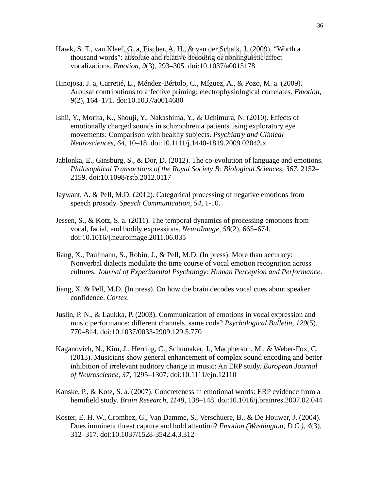- Hawk, S. T., van Kleef, G. a, Fischer, A. H., & van der Schalk, J. (2009). "Worth a thousand words": absolute and relative decoding of nonlinguistic affect vocalizations. *Emotion*, *9*(3), 293–305. doi:10.1037/a0015178
- Hinojosa, J. a, Carretié, L., Méndez-Bértolo, C., Míguez, A., & Pozo, M. a. (2009). Arousal contributions to affective priming: electrophysiological correlates. *Emotion*, *9*(2), 164–171. doi:10.1037/a0014680
- Ishii, Y., Morita, K., Shouji, Y., Nakashima, Y., & Uchimura, N. (2010). Effects of emotionally charged sounds in schizophrenia patients using exploratory eye movements: Comparison with healthy subjects. *Psychiatry and Clinical Neurosciences*, *64*, 10–18. doi:10.1111/j.1440-1819.2009.02043.x
- Jablonka, E., Ginsburg, S., & Dor, D. (2012). The co-evolution of language and emotions. *Philosophical Transactions of the Royal Society B: Biological Sciences*, *367*, 2152– 2159. doi:10.1098/rstb.2012.0117
- Jaywant, A. & Pell, M.D. (2012). Categorical processing of negative emotions from speech prosody. *Speech Communication*, *54*, 1-10.
- Jessen, S., & Kotz, S. a. (2011). The temporal dynamics of processing emotions from vocal, facial, and bodily expressions. *NeuroImage*, *58*(2), 665–674. doi:10.1016/j.neuroimage.2011.06.035
- Jiang, X., Paulmann, S., Robin, J., & Pell, M.D. (In press). More than accuracy: Nonverbal dialects modulate the time course of vocal emotion recognition across cultures. *Journal of Experimental Psychology: Human Perception and Performance*.
- Jiang, X. & Pell, M.D. (In press). On how the brain decodes vocal cues about speaker confidence. *Cortex*.
- Juslin, P. N., & Laukka, P. (2003). Communication of emotions in vocal expression and music performance: different channels, same code? *Psychological Bulletin*, *129*(5), 770–814. doi:10.1037/0033-2909.129.5.770
- Kaganovich, N., Kim, J., Herring, C., Schumaker, J., Macpherson, M., & Weber-Fox, C. (2013). Musicians show general enhancement of complex sound encoding and better inhibition of irrelevant auditory change in music: An ERP study. *European Journal of Neuroscience*, *37*, 1295–1307. doi:10.1111/ejn.12110
- Kanske, P., & Kotz, S. a. (2007). Concreteness in emotional words: ERP evidence from a hemifield study. *Brain Research*, *1148*, 138–148. doi:10.1016/j.brainres.2007.02.044
- Koster, E. H. W., Crombez, G., Van Damme, S., Verschuere, B., & De Houwer, J. (2004). Does imminent threat capture and hold attention? *Emotion (Washington, D.C.)*, *4*(3), 312–317. doi:10.1037/1528-3542.4.3.312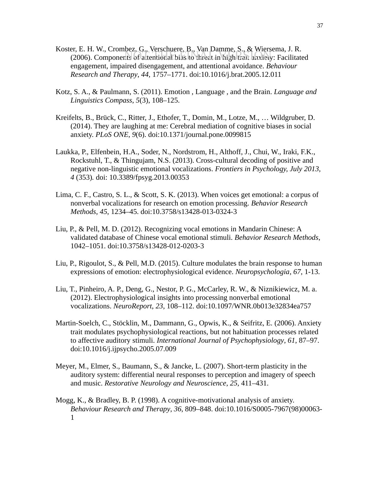- Koster, E. H. W., Crombez, G., Verschuere, B., Van Damme, S., & Wiersema, J. R. er, E. H. W., Crombez, O., Verschuere, D., Van Dannie, S., & Wiersenia, J. K.<br>(2006). Components of a tentior al bias to threat in high trait anxiety: Facilitated engagement, impaired disengagement, and attentional avoidance. *Behaviour Research and Therapy*, *44*, 1757–1771. doi:10.1016/j.brat.2005.12.011
- Kotz, S. A., & Paulmann, S. (2011). Emotion , Language , and the Brain. *Language and Linguistics Compass*, *5*(3), 108–125.
- Kreifelts, B., Brück, C., Ritter, J., Ethofer, T., Domin, M., Lotze, M., … Wildgruber, D. (2014). They are laughing at me: Cerebral mediation of cognitive biases in social anxiety. *PLoS ONE*, *9*(6). doi:10.1371/journal.pone.0099815
- Laukka, P., Elfenbein, H.A., Soder, N., Nordstrom, H., Althoff, J., Chui, W., Iraki, F.K., Rockstuhl, T., & Thingujam, N.S. (2013). Cross-cultural decoding of positive and negative non-linguistic emotional vocalizations. *Frontiers in Psychology, July 2013, 4* (353)*.* doi: 10.3389/fpsyg.2013.00353
- Lima, C. F., Castro, S. L., & Scott, S. K. (2013). When voices get emotional: a corpus of nonverbal vocalizations for research on emotion processing. *Behavior Research Methods*, *45*, 1234–45. doi:10.3758/s13428-013-0324-3
- Liu, P., & Pell, M. D. (2012). Recognizing vocal emotions in Mandarin Chinese: A validated database of Chinese vocal emotional stimuli. *Behavior Research Methods*, 1042–1051. doi:10.3758/s13428-012-0203-3
- Liu, P., Rigoulot, S., & Pell, M.D. (2015). Culture modulates the brain response to human expressions of emotion: electrophysiological evidence. *Neuropsychologia*, *67*, 1-13.
- Liu, T., Pinheiro, A. P., Deng, G., Nestor, P. G., McCarley, R. W., & Niznikiewicz, M. a. (2012). Electrophysiological insights into processing nonverbal emotional vocalizations. *NeuroReport*, *23*, 108–112. doi:10.1097/WNR.0b013e32834ea757
- Martin-Soelch, C., Stöcklin, M., Dammann, G., Opwis, K., & Seifritz, E. (2006). Anxiety trait modulates psychophysiological reactions, but not habituation processes related to affective auditory stimuli. *International Journal of Psychophysiology*, *61*, 87–97. doi:10.1016/j.ijpsycho.2005.07.009
- Meyer, M., Elmer, S., Baumann, S., & Jancke, L. (2007). Short-term plasticity in the auditory system: differential neural responses to perception and imagery of speech and music. *Restorative Neurology and Neuroscience*, *25*, 411–431.
- Mogg, K., & Bradley, B. P. (1998). A cognitive-motivational analysis of anxiety. *Behaviour Research and Therapy*, *36*, 809–848. doi:10.1016/S0005-7967(98)00063- 1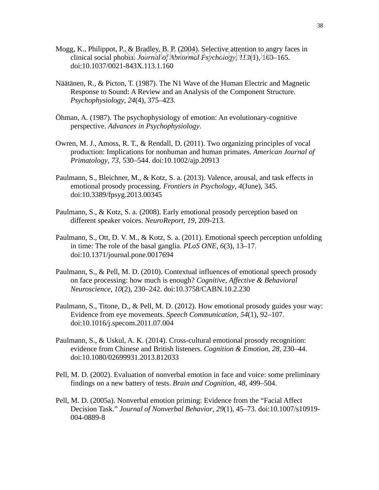- Mogg, K., Philippot, P., & Bradley, B. P. (2004). Selective attention to angry faces in g, R., I limppot, I., & *Diadicy*, D. I. (2004). Selective attention to aligry factorized the extended of Abnormal Psychology, 113(1), 160–165. doi:10.1037/0021-843X.113.1.160
- Näätänen, R., & Picton, T. (1987). The N1 Wave of the Human Electric and Magnetic Response to Sound: A Review and an Analysis of the Component Structure. *Psychophysiology*, *24*(4), 375–423.
- Öhman, A. (1987). The psychophysiology of emotion: An evolutionary-cognitive perspective. *Advances in Psychophysiology*.
- Owren, M. J., Amoss, R. T., & Rendall, D. (2011). Two organizing principles of vocal production: Implications for nonhuman and human primates. *American Journal of Primatology*, *73*, 530–544. doi:10.1002/ajp.20913
- Paulmann, S., Bleichner, M., & Kotz, S. a. (2013). Valence, arousal, and task effects in emotional prosody processing. *Frontiers in Psychology*, *4*(June), 345. doi:10.3389/fpsyg.2013.00345
- Paulmann, S., & Kotz, S. a. (2008). Early emotional prosody perception based on different speaker voices. *NeuroReport*, *19*, 209-213.
- Paulmann, S., Ott, D. V. M., & Kotz, S. a. (2011). Emotional speech perception unfolding in time: The role of the basal ganglia. *PLoS ONE*, *6*(3), 13–17. doi:10.1371/journal.pone.0017694
- Paulmann, S., & Pell, M. D. (2010). Contextual influences of emotional speech prosody on face processing: how much is enough? *Cognitive, Affective & Behavioral Neuroscience*, *10*(2), 230–242. doi:10.3758/CABN.10.2.230
- Paulmann, S., Titone, D., & Pell, M. D. (2012). How emotional prosody guides your way: Evidence from eye movements. *Speech Communication*, *54*(1), 92–107. doi:10.1016/j.specom.2011.07.004
- Paulmann, S., & Uskul, A. K. (2014). Cross-cultural emotional prosody recognition: evidence from Chinese and British listeners. *Cognition & Emotion*, *28*, 230–44. doi:10.1080/02699931.2013.812033
- Pell, M. D. (2002). Evaluation of nonverbal emotion in face and voice: some preliminary findings on a new battery of tests. *Brain and Cognition*, *48*, 499–504.
- Pell, M. D. (2005a). Nonverbal emotion priming: Evidence from the "Facial Affect Decision Task." *Journal of Nonverbal Behavior*, *29*(1), 45–73. doi:10.1007/s10919- 004-0889-8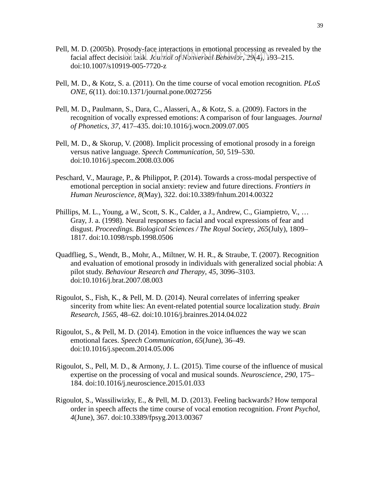- Pell, M. D. (2005b). Prosody-face interactions in emotional processing as revealed by the M. D. (2005b). I Iosody-lace interactions in emotional processing as revealed the interaction task. *Journal of Nonverbal Behavior*, 29(4), 193–215. doi:10.1007/s10919-005-7720-z
- Pell, M. D., & Kotz, S. a. (2011). On the time course of vocal emotion recognition. *PLoS ONE*, *6*(11). doi:10.1371/journal.pone.0027256
- Pell, M. D., Paulmann, S., Dara, C., Alasseri, A., & Kotz, S. a. (2009). Factors in the recognition of vocally expressed emotions: A comparison of four languages. *Journal of Phonetics*, *37*, 417–435. doi:10.1016/j.wocn.2009.07.005
- Pell, M. D., & Skorup, V. (2008). Implicit processing of emotional prosody in a foreign versus native language. *Speech Communication*, *50*, 519–530. doi:10.1016/j.specom.2008.03.006
- Peschard, V., Maurage, P., & Philippot, P. (2014). Towards a cross-modal perspective of emotional perception in social anxiety: review and future directions. *Frontiers in Human Neuroscience*, *8*(May), 322. doi:10.3389/fnhum.2014.00322
- Phillips, M. L., Young, a W., Scott, S. K., Calder, a J., Andrew, C., Giampietro, V., … Gray, J. a. (1998). Neural responses to facial and vocal expressions of fear and disgust. *Proceedings. Biological Sciences / The Royal Society*, *265*(July), 1809– 1817. doi:10.1098/rspb.1998.0506
- Quadflieg, S., Wendt, B., Mohr, A., Miltner, W. H. R., & Straube, T. (2007). Recognition and evaluation of emotional prosody in individuals with generalized social phobia: A pilot study. *Behaviour Research and Therapy*, *45*, 3096–3103. doi:10.1016/j.brat.2007.08.003
- Rigoulot, S., Fish, K., & Pell, M. D. (2014). Neural correlates of inferring speaker sincerity from white lies: An event-related potential source localization study. *Brain Research*, *1565*, 48–62. doi:10.1016/j.brainres.2014.04.022
- Rigoulot, S., & Pell, M. D. (2014). Emotion in the voice influences the way we scan emotional faces. *Speech Communication*, *65*(June), 36–49. doi:10.1016/j.specom.2014.05.006
- Rigoulot, S., Pell, M. D., & Armony, J. L. (2015). Time course of the influence of musical expertise on the processing of vocal and musical sounds. *Neuroscience*, *290*, 175– 184. doi:10.1016/j.neuroscience.2015.01.033
- Rigoulot, S., Wassiliwizky, E., & Pell, M. D. (2013). Feeling backwards? How temporal order in speech affects the time course of vocal emotion recognition. *Front Psychol*, *4*(June), 367. doi:10.3389/fpsyg.2013.00367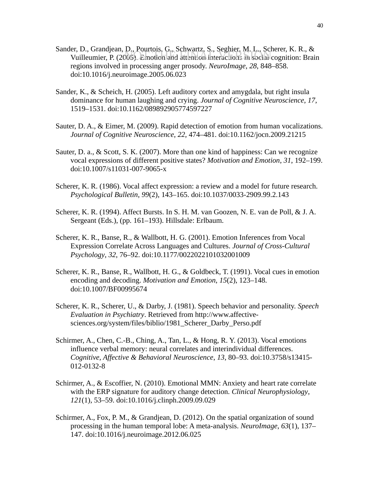- Sander, D., Grandjean, D., Pourtois, G., Schwartz, S., Seghier, M. L., Scherer, K. R., & er, D., Grandjean, D., Fourois. G., Schwarz, S., Segnier, M. E., Scherer, R. R., &<br>Vuilleumier, P. (2005). Emotion and attention interactions in social cognition: Brain regions involved in processing anger prosody. *NeuroImage*, *28*, 848–858. doi:10.1016/j.neuroimage.2005.06.023
- Sander, K., & Scheich, H. (2005). Left auditory cortex and amygdala, but right insula dominance for human laughing and crying. *Journal of Cognitive Neuroscience*, *17*, 1519–1531. doi:10.1162/089892905774597227
- Sauter, D. A., & Eimer, M. (2009). Rapid detection of emotion from human vocalizations. *Journal of Cognitive Neuroscience*, *22*, 474–481. doi:10.1162/jocn.2009.21215
- Sauter, D. a., & Scott, S. K. (2007). More than one kind of happiness: Can we recognize vocal expressions of different positive states? *Motivation and Emotion*, *31*, 192–199. doi:10.1007/s11031-007-9065-x
- Scherer, K. R. (1986). Vocal affect expression: a review and a model for future research. *Psychological Bulletin*, *99*(2), 143–165. doi:10.1037/0033-2909.99.2.143
- Scherer, K. R. (1994). Affect Bursts. In S. H. M. van Goozen, N. E. van de Poll, & J. A. Sergeant (Eds.), (pp. 161–193). Hillsdale: Erlbaum.
- Scherer, K. R., Banse, R., & Wallbott, H. G. (2001). Emotion Inferences from Vocal Expression Correlate Across Languages and Cultures. *Journal of Cross-Cultural Psychology*, *32*, 76–92. doi:10.1177/0022022101032001009
- Scherer, K. R., Banse, R., Wallbott, H. G., & Goldbeck, T. (1991). Vocal cues in emotion encoding and decoding. *Motivation and Emotion*, *15*(2), 123–148. doi:10.1007/BF00995674
- Scherer, K. R., Scherer, U., & Darby, J. (1981). Speech behavior and personality. *Speech Evaluation in Psychiatry*. Retrieved from http://www.affectivesciences.org/system/files/biblio/1981\_Scherer\_Darby\_Perso.pdf
- Schirmer, A., Chen, C.-B., Ching, A., Tan, L., & Hong, R. Y. (2013). Vocal emotions influence verbal memory: neural correlates and interindividual differences. *Cognitive, Affective & Behavioral Neuroscience*, *13*, 80–93. doi:10.3758/s13415- 012-0132-8
- Schirmer, A., & Escoffier, N. (2010). Emotional MMN: Anxiety and heart rate correlate with the ERP signature for auditory change detection. *Clinical Neurophysiology*, *121*(1), 53–59. doi:10.1016/j.clinph.2009.09.029
- Schirmer, A., Fox, P. M., & Grandjean, D. (2012). On the spatial organization of sound processing in the human temporal lobe: A meta-analysis. *NeuroImage*, *63*(1), 137– 147. doi:10.1016/j.neuroimage.2012.06.025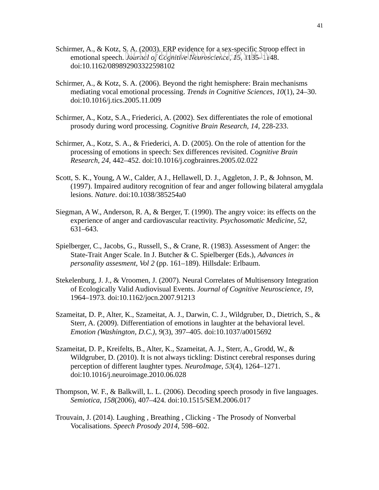- Schirmer, A., & Kotz, S. A. (2003). ERP evidence for a sex-specific Stroop effect in emotional speech. *Journal of Cognitive Neuroscience*, 15, 1135–1148. doi:10.1162/089892903322598102
- Schirmer, A., & Kotz, S. A. (2006). Beyond the right hemisphere: Brain mechanisms mediating vocal emotional processing. *Trends in Cognitive Sciences*, *10*(1), 24–30. doi:10.1016/j.tics.2005.11.009
- Schirmer, A., Kotz, S.A., Friederici, A. (2002). Sex differentiates the role of emotional prosody during word processing. *Cognitive Brain Research, 14,* 228-233.
- Schirmer, A., Kotz, S. A., & Friederici, A. D. (2005). On the role of attention for the processing of emotions in speech: Sex differences revisited. *Cognitive Brain Research*, *24*, 442–452. doi:10.1016/j.cogbrainres.2005.02.022
- Scott, S. K., Young, A W., Calder, A J., Hellawell, D. J., Aggleton, J. P., & Johnson, M. (1997). Impaired auditory recognition of fear and anger following bilateral amygdala lesions. *Nature*. doi:10.1038/385254a0
- Siegman, A W., Anderson, R. A, & Berger, T. (1990). The angry voice: its effects on the experience of anger and cardiovascular reactivity. *Psychosomatic Medicine*, *52*, 631–643.
- Spielberger, C., Jacobs, G., Russell, S., & Crane, R. (1983). Assessment of Anger: the State-Trait Anger Scale. In J. Butcher & C. Spielberger (Eds.), *Advances in personality assesment, Vol 2* (pp. 161–189). Hillsdale: Erlbaum.
- Stekelenburg, J. J., & Vroomen, J. (2007). Neural Correlates of Multisensory Integration of Ecologically Valid Audiovisual Events. *Journal of Cognitive Neuroscience*, *19*, 1964–1973. doi:10.1162/jocn.2007.91213
- Szameitat, D. P., Alter, K., Szameitat, A. J., Darwin, C. J., Wildgruber, D., Dietrich, S., & Sterr, A. (2009). Differentiation of emotions in laughter at the behavioral level. *Emotion (Washington, D.C.)*, *9*(3), 397–405. doi:10.1037/a0015692
- Szameitat, D. P., Kreifelts, B., Alter, K., Szameitat, A. J., Sterr, A., Grodd, W., & Wildgruber, D. (2010). It is not always tickling: Distinct cerebral responses during perception of different laughter types. *NeuroImage*, *53*(4), 1264–1271. doi:10.1016/j.neuroimage.2010.06.028
- Thompson, W. F., & Balkwill, L. L. (2006). Decoding speech prosody in five languages. *Semiotica*, *158*(2006), 407–424. doi:10.1515/SEM.2006.017
- Trouvain, J. (2014). Laughing , Breathing , Clicking The Prosody of Nonverbal Vocalisations. *Speech Prosody 2014*, 598–602.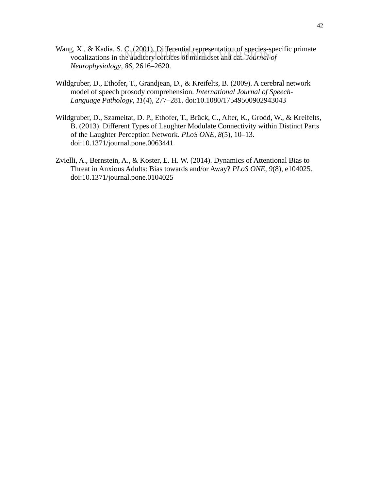- Wang, X., & Kadia, S. C. (2001). Differential representation of species-specific primate s, A., & Radia, *S.* C. (2001). Differential representation of species-species of marmoset and cat. *Journal of Neurophysiology*, *86*, 2616–2620.
- Wildgruber, D., Ethofer, T., Grandjean, D., & Kreifelts, B. (2009). A cerebral network model of speech prosody comprehension. *International Journal of Speech-Language Pathology*, *11*(4), 277–281. doi:10.1080/17549500902943043
- Wildgruber, D., Szameitat, D. P., Ethofer, T., Brück, C., Alter, K., Grodd, W., & Kreifelts, B. (2013). Different Types of Laughter Modulate Connectivity within Distinct Parts of the Laughter Perception Network. *PLoS ONE*, *8*(5), 10–13. doi:10.1371/journal.pone.0063441
- Zvielli, A., Bernstein, A., & Koster, E. H. W. (2014). Dynamics of Attentional Bias to Threat in Anxious Adults: Bias towards and/or Away? *PLoS ONE*, *9*(8), e104025. doi:10.1371/journal.pone.0104025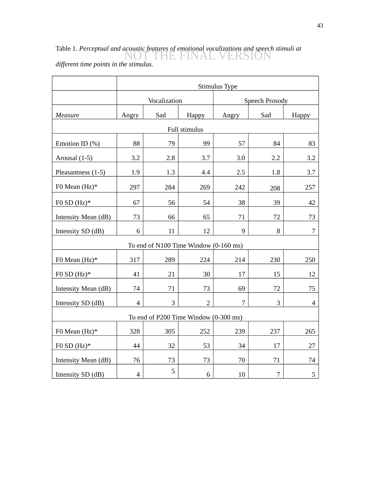# Table 1. *Perceptual and acoustic features of emotional vocalizations and speech stimuli at*  NOT THE FINAL VERSION

|                                       | Stimulus Type  |     |                |                |                |                |  |  |  |  |
|---------------------------------------|----------------|-----|----------------|----------------|----------------|----------------|--|--|--|--|
|                                       | Vocalization   |     |                | Speech Prosody |                |                |  |  |  |  |
| Measure                               | Angry          | Sad | Happy          | Angry          | Sad            | <b>Happy</b>   |  |  |  |  |
| Full stimulus                         |                |     |                |                |                |                |  |  |  |  |
| Emotion ID $(\%)$                     | 88             | 79  | 99             | 57             | 84             | 83             |  |  |  |  |
| Arousal (1-5)                         | 3.2            | 2.8 | 3.7            | 3.0            | 2.2            | 3.2            |  |  |  |  |
| Pleasantness (1-5)                    | 1.9            | 1.3 | 4.4            | 2.5            | 1.8            | 3.7            |  |  |  |  |
| F0 Mean $(Hz)*$                       | 297            | 284 | 269            | 242            | 208            | 257            |  |  |  |  |
| F0 SD $(Hz)*$                         | 67             | 56  | 54             | 38             | 39             | 42             |  |  |  |  |
| Intensity Mean (dB)                   | 73             | 66  | 65             | 71             | 72             | 73             |  |  |  |  |
| Intensity SD (dB)                     | 6              | 11  | 12             | 9              | 8              | 7              |  |  |  |  |
| To end of N100 Time Window (0-160 ms) |                |     |                |                |                |                |  |  |  |  |
| F0 Mean $(Hz)^*$                      | 317            | 289 | 224            | 214            | 230            | 250            |  |  |  |  |
| F0 SD $(Hz)*$                         | 41             | 21  | 30             | 17             | 15             | 12             |  |  |  |  |
| Intensity Mean (dB)                   | 74             | 71  | 73             | 69             | 72             | 75             |  |  |  |  |
| Intensity SD (dB)                     | $\overline{4}$ | 3   | $\overline{2}$ | 7              | 3              | $\overline{4}$ |  |  |  |  |
| To end of P200 Time Window (0-300 ms) |                |     |                |                |                |                |  |  |  |  |
| F0 Mean $(Hz)^*$                      | 328            | 305 | 252            | 239            | 237            | 265            |  |  |  |  |
| F0 SD $(Hz)*$                         | 44             | 32  | 53             | 34             | 17             | 27             |  |  |  |  |
| Intensity Mean (dB)                   | 76             | 73  | 73             | 70             | 71             | 74             |  |  |  |  |
| Intensity SD (dB)                     | $\overline{4}$ | 5   | 6              | 10             | $\overline{7}$ | 5              |  |  |  |  |

*different time points in the stimulus.*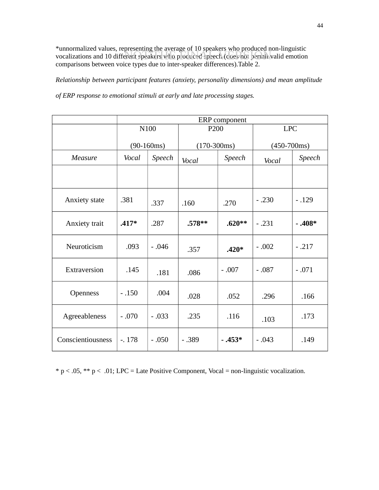\*unnormalized values, representing the average of 10 speakers who produced non-linguistic uniormanzed values, representing the average of 10 speakers who produced not inigalistic<br>vocalizations and 10 different speakers who produced speech (coes not permit valid emotion comparisons between voice types due to inter-speaker differences).Table 2.

*Relationship between participant features (anxiety, personality dimensions) and mean amplitude*

*of ERP response to emotional stimuli at early and late processing stages.*

|                      | ERP component |         |                  |          |               |          |  |  |  |
|----------------------|---------------|---------|------------------|----------|---------------|----------|--|--|--|
|                      | N100          |         | P <sub>200</sub> |          | <b>LPC</b>    |          |  |  |  |
|                      | $(90-160ms)$  |         | $(170-300ms)$    |          | $(450 - 700)$ |          |  |  |  |
| Measure              | Vocal         | Speech  | Vocal            | Speech   | Vocal         | Speech   |  |  |  |
|                      |               |         |                  |          |               |          |  |  |  |
| <b>Anxiety</b> state | .381          | .337    | .160             | .270     | $-.230$       | $-.129$  |  |  |  |
| Anxiety trait        | $.417*$       | .287    | $.578**$         | $.620**$ | $-.231$       | $-.408*$ |  |  |  |
| Neuroticism          | .093          | $-.046$ | .357             | $.420*$  | $-.002$       | $-.217$  |  |  |  |
| Extraversion         | .145          | .181    | .086             | $-.007$  | $-.087$       | $-.071$  |  |  |  |
| <b>Openness</b>      | $-.150$       | .004    | .028             | .052     | .296          | .166     |  |  |  |
| Agreeableness        | $-.070$       | $-.033$ | .235             | .116     | .103          | .173     |  |  |  |
| Conscientiousness    | $-0.178$      | $-.050$ | $-.389$          | $-.453*$ | $-.043$       | .149     |  |  |  |

 $* p < .05, ** p < .01$ ; LPC = Late Positive Component, Vocal = non-linguistic vocalization.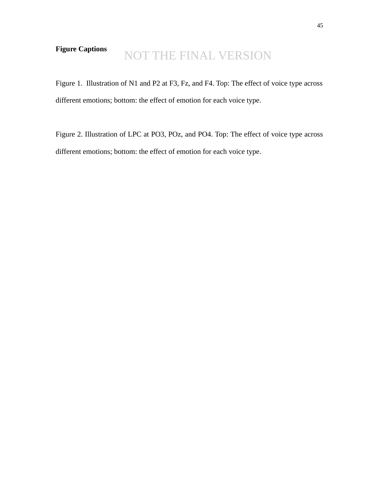# **Figure Captions**

# NOT THE FINAL VERSION

Figure 1. Illustration of N1 and P2 at F3, Fz, and F4. Top: The effect of voice type across different emotions; bottom: the effect of emotion for each voice type.

Figure 2. Illustration of LPC at PO3, POz, and PO4. Top: The effect of voice type across different emotions; bottom: the effect of emotion for each voice type.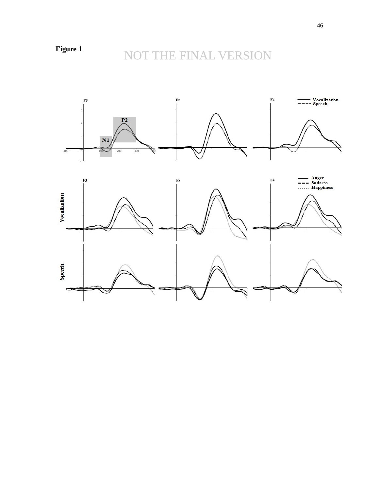# NOT THE FINAL VERSION